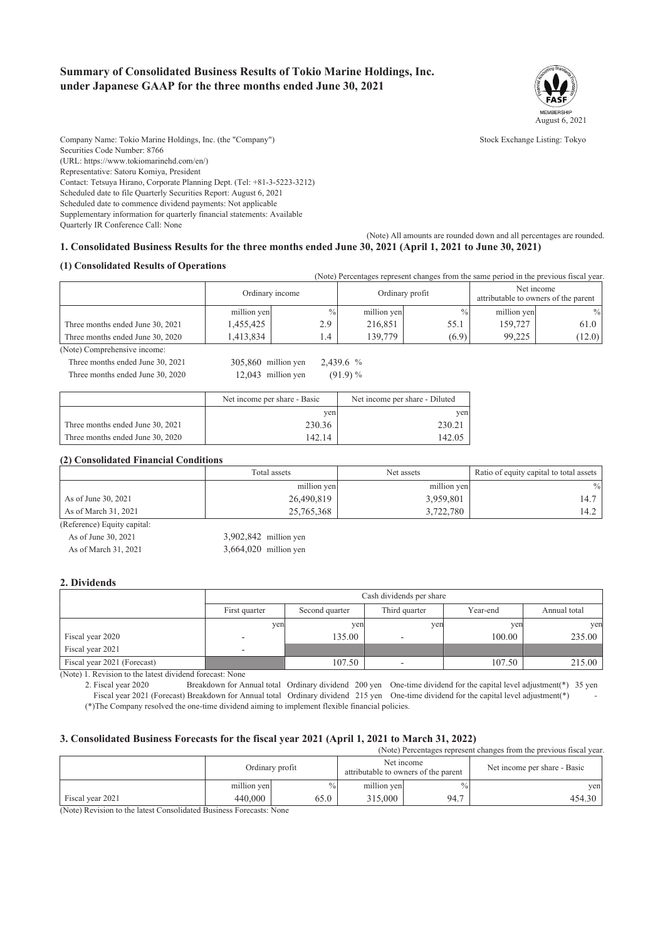### **Summary of Consolidated Business Results of Tokio Marine Holdings, Inc. under Japanese GAAP for the three months ended June 30, 2021**



Company Name: Tokio Marine Holdings, Inc. (the "Company") Stock Exchange Listing: Tokyo Securities Code Number: 8766 (URL: https://www.tokiomarinehd.com/en/) Representative: Satoru Komiya, President Contact: Tetsuya Hirano, Corporate Planning Dept. (Tel: +81-3-5223-3212) Scheduled date to file Quarterly Securities Report: August 6, 2021 Scheduled date to commence dividend payments: Not applicable Supplementary information for quarterly financial statements: Available Quarterly IR Conference Call: None

#### (Note) All amounts are rounded down and all percentages are rounded. **1. Consolidated Business Results for the three months ended June 30, 2021 (April 1, 2021 to June 30, 2021)**

#### **(1) Consolidated Results of Operations**

|                                  |                 |               |                 |       | (Note) Percentages represent changes from the same period in the previous fiscal year. |               |
|----------------------------------|-----------------|---------------|-----------------|-------|----------------------------------------------------------------------------------------|---------------|
|                                  | Ordinary income |               | Ordinary profit |       | Net income<br>attributable to owners of the parent                                     |               |
|                                  | million yen     | $\frac{0}{0}$ | million yen     | $\%$  | million yen                                                                            | $\frac{0}{0}$ |
| Three months ended June 30, 2021 | 1,455,425       | 2.9           | 216,851         | 55.1  | 159,727                                                                                | 61.0          |
| Three months ended June 30, 2020 | 1.413.834       |               | 139,779         | (6.9) | 99.225                                                                                 | (12.0)        |

(Note) Comprehensive income:

Three months ended June 30, 2021 305,860 million yen 2,439.6 % Three months ended June 30, 2020 12,043 million yen (91.9) %

|                                  | Net income per share - Basic | Net income per share - Diluted |
|----------------------------------|------------------------------|--------------------------------|
|                                  | ven                          | ven                            |
| Three months ended June 30, 2021 | 230.36                       | 230.21                         |
| Three months ended June 30, 2020 | 142.14                       | 142.05                         |

#### **(2) Consolidated Financial Conditions**

|                             | Total assets | Net assets  | Ratio of equity capital to total assets |
|-----------------------------|--------------|-------------|-----------------------------------------|
|                             | million yen  | million yen | $\frac{0}{0}$                           |
| As of June 30, 2021         | 26,490,819   | 3,959,801   | 14.7                                    |
| As of March 31, 2021        | 25,765,368   | 3,722,780   | 4.2                                     |
| (Reference) Fauity canital: |              |             |                                         |

| As of June 30, 2021  | $3,902,842$ million yen |
|----------------------|-------------------------|
| As of March 31, 2021 | $3,664,020$ million yen |

#### **2. Dividends**

|                             |               | Cash dividends per share |                          |          |              |
|-----------------------------|---------------|--------------------------|--------------------------|----------|--------------|
|                             | First quarter | Second quarter           | Third quarter            | Year-end | Annual total |
|                             | yen           | yen                      | yen                      | yen      | yen          |
| Fiscal year 2020            | -             | 135.00                   |                          | 100.00   | 235.00       |
| Fiscal year 2021            | -             |                          |                          |          |              |
| Fiscal year 2021 (Forecast) |               | 107.50                   | $\overline{\phantom{0}}$ | 107.50   | 215.00       |

(Note) 1. Revision to the latest dividend forecast: None

 2. Fiscal year 2020 Breakdown for Annual total Ordinary dividend 200 yen One-time dividend for the capital level adjustment(\*) 35 yen Fiscal year 2021 (Forecast) Breakdown for Annual total Ordinary dividend 215 yen One-time dividend for the capital level adjustment(\*)

(\*)The Company resolved the one-time dividend aiming to implement flexible financial policies.

### **3. Consolidated Business Forecasts for the fiscal year 2021 (April 1, 2021 to March 31, 2022)**

(Note) Percentages represent changes from the previous fiscal year.

|                  |                          | Ordinary profit |             | Net income<br>attributable to owners of the parent | Net income per share - Basic |
|------------------|--------------------------|-----------------|-------------|----------------------------------------------------|------------------------------|
|                  | million yen              |                 | million yen | $\frac{0}{0}$                                      | ven                          |
| Fiscal year 2021 | 440,000                  | 55.0            | 315,000     | 94.7                                               | 454.30                       |
|                  | <b>STATE OF BUILDING</b> |                 |             |                                                    |                              |

(Note) Revision to the latest Consolidated Business Forecasts: None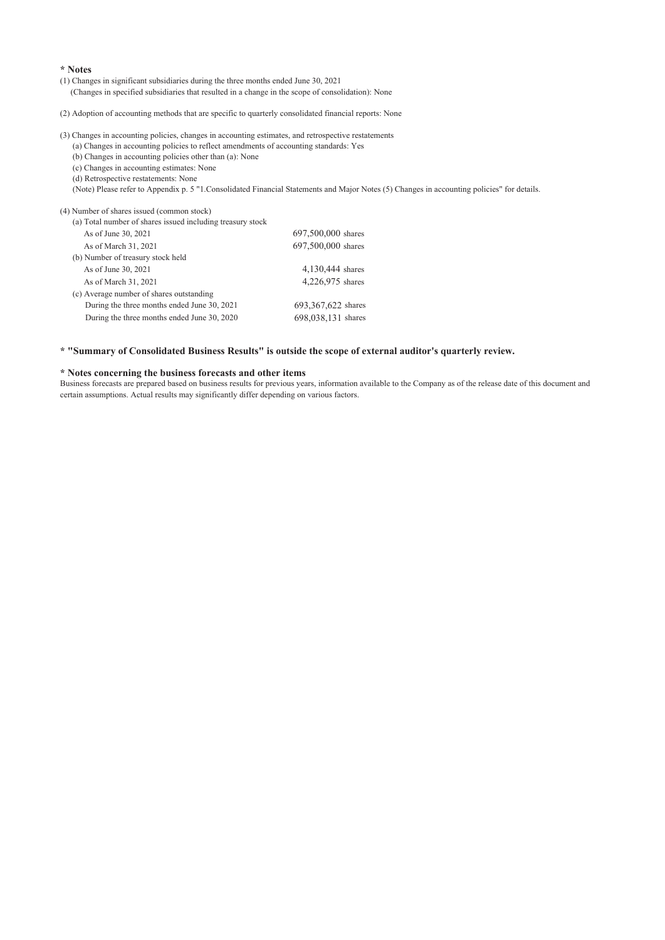#### **\* Notes**

(1) Changes in significant subsidiaries during the three months ended June 30, 2021 (Changes in specified subsidiaries that resulted in a change in the scope of consolidation): None

(2) Adoption of accounting methods that are specific to quarterly consolidated financial reports: None

### (3) Changes in accounting policies, changes in accounting estimates, and retrospective restatements

(a) Changes in accounting policies to reflect amendments of accounting standards: Yes

(b) Changes in accounting policies other than (a): None

(c) Changes in accounting estimates: None

(d) Retrospective restatements: None

(Note) Please refer to Appendix p. 5 "1.Consolidated Financial Statements and Major Notes (5) Changes in accounting policies" for details.

#### (4) Number of shares issued (common stock)

| (a) Total number of shares issued including treasury stock |                      |
|------------------------------------------------------------|----------------------|
| As of June 30, 2021                                        | 697,500,000 shares   |
| As of March 31, 2021                                       | 697,500,000 shares   |
| (b) Number of treasury stock held                          |                      |
| As of June 30, 2021                                        | 4,130,444 shares     |
| As of March 31, 2021                                       | 4,226,975 shares     |
| (c) Average number of shares outstanding                   |                      |
| During the three months ended June 30, 2021                | 693, 367, 622 shares |
| During the three months ended June 30, 2020                | 698,038,131 shares   |

#### **\* "Summary of Consolidated Business Results" is outside the scope of external auditor's quarterly review.**

#### **\* Notes concerning the business forecasts and other items**

Business forecasts are prepared based on business results for previous years, information available to the Company as of the release date of this document and certain assumptions. Actual results may significantly differ depending on various factors.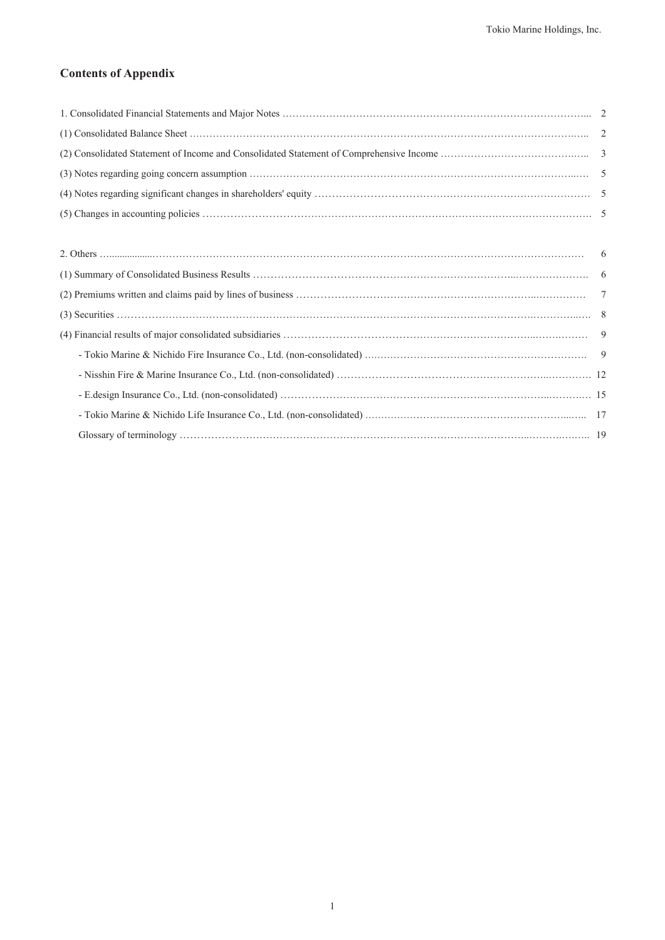## **Contents of Appendix**

| -6 |
|----|
|    |
| 7  |
|    |
| 9  |
|    |
|    |
|    |
|    |
|    |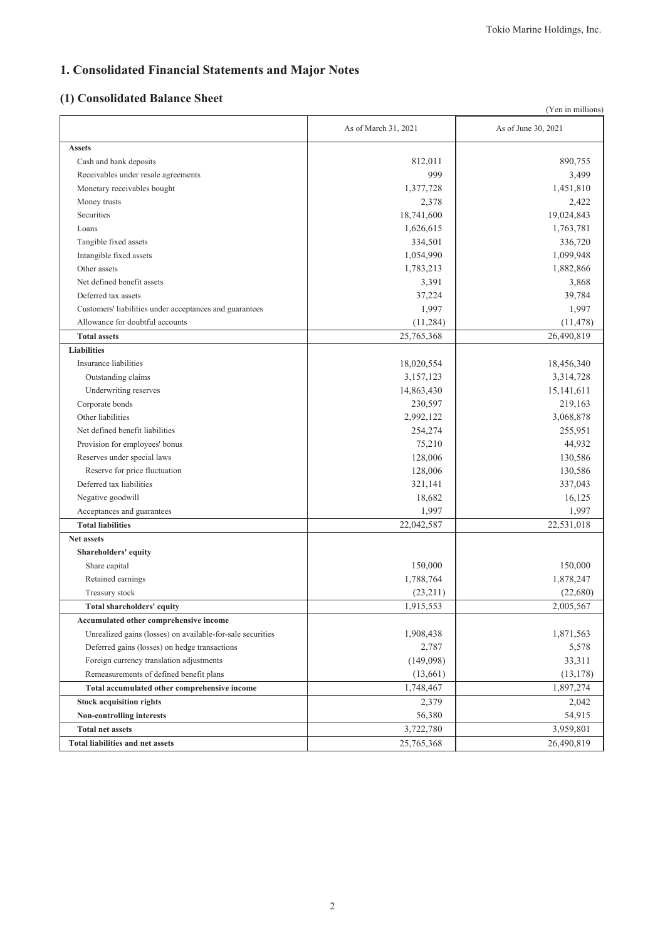# **1. Consolidated Financial Statements and Major Notes**

## **(1) Consolidated Balance Sheet**

|                                                            |                      | (Yen in millions)   |
|------------------------------------------------------------|----------------------|---------------------|
|                                                            | As of March 31, 2021 | As of June 30, 2021 |
| <b>Assets</b>                                              |                      |                     |
| Cash and bank deposits                                     | 812,011              | 890,755             |
| Receivables under resale agreements                        | 999                  | 3,499               |
| Monetary receivables bought                                | 1,377,728            | 1,451,810           |
| Money trusts                                               | 2,378                | 2,422               |
| Securities                                                 | 18,741,600           | 19,024,843          |
| Loans                                                      | 1,626,615            | 1,763,781           |
| Tangible fixed assets                                      | 334,501              | 336,720             |
| Intangible fixed assets                                    | 1,054,990            | 1,099,948           |
| Other assets                                               | 1,783,213            | 1,882,866           |
| Net defined benefit assets                                 | 3,391                | 3,868               |
| Deferred tax assets                                        | 37,224               | 39,784              |
| Customers' liabilities under acceptances and guarantees    | 1,997                | 1,997               |
| Allowance for doubtful accounts                            | (11,284)             | (11, 478)           |
| <b>Total assets</b>                                        | 25,765,368           | 26,490,819          |
| <b>Liabilities</b>                                         |                      |                     |
| Insurance liabilities                                      | 18,020,554           | 18,456,340          |
| Outstanding claims                                         | 3,157,123            | 3,314,728           |
| Underwriting reserves                                      | 14,863,430           | 15, 141, 611        |
| Corporate bonds                                            | 230,597              | 219,163             |
| Other liabilities                                          | 2,992,122            | 3,068,878           |
| Net defined benefit liabilities                            | 254,274              | 255,951             |
| Provision for employees' bonus                             | 75,210               | 44,932              |
| Reserves under special laws                                | 128,006              | 130,586             |
| Reserve for price fluctuation                              | 128,006              | 130,586             |
| Deferred tax liabilities                                   | 321,141              | 337,043             |
| Negative goodwill                                          | 18,682               | 16,125              |
| Acceptances and guarantees                                 | 1,997                | 1,997               |
| <b>Total liabilities</b>                                   | 22,042,587           | 22,531,018          |
| Net assets                                                 |                      |                     |
| Shareholders' equity                                       |                      |                     |
| Share capital                                              | 150,000              | 150,000             |
| Retained earnings                                          | 1,788,764            | 1,878,247           |
| Treasury stock                                             | (23,211)             | (22,680)            |
| Total shareholders' equity                                 | 1,915,553            | 2,005,567           |
| Accumulated other comprehensive income                     |                      |                     |
| Unrealized gains (losses) on available-for-sale securities | 1,908,438            | 1,871,563           |
| Deferred gains (losses) on hedge transactions              | 2,787                | 5,578               |
| Foreign currency translation adjustments                   | (149,098)            | 33,311              |
| Remeasurements of defined benefit plans                    | (13,661)             | (13, 178)           |
| Total accumulated other comprehensive income               | 1,748,467            | 1,897,274           |
| <b>Stock acquisition rights</b>                            | 2,379                | 2,042               |
| Non-controlling interests                                  | 56,380               | 54,915              |
| <b>Total net assets</b>                                    | 3,722,780            | 3,959,801           |
| <b>Total liabilities and net assets</b>                    | 25,765,368           | 26,490,819          |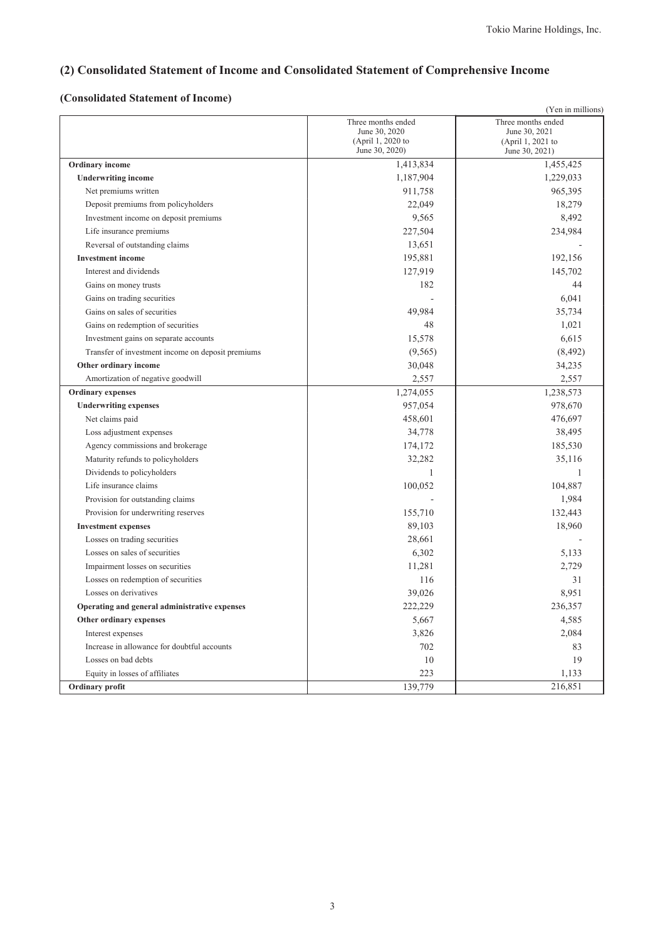## **(2) Consolidated Statement of Income and Consolidated Statement of Comprehensive Income**

## **(Consolidated Statement of Income)**

|                                                   |                                                                            | (Yen in millions)                                                          |
|---------------------------------------------------|----------------------------------------------------------------------------|----------------------------------------------------------------------------|
|                                                   | Three months ended<br>June 30, 2020<br>(April 1, 2020 to<br>June 30, 2020) | Three months ended<br>June 30, 2021<br>(April 1, 2021 to<br>June 30, 2021) |
| <b>Ordinary income</b>                            | 1,413,834                                                                  | 1,455,425                                                                  |
| <b>Underwriting income</b>                        | 1,187,904                                                                  | 1,229,033                                                                  |
| Net premiums written                              | 911,758                                                                    | 965,395                                                                    |
| Deposit premiums from policyholders               | 22,049                                                                     | 18,279                                                                     |
| Investment income on deposit premiums             | 9,565                                                                      | 8,492                                                                      |
| Life insurance premiums                           | 227,504                                                                    | 234,984                                                                    |
| Reversal of outstanding claims                    | 13,651                                                                     |                                                                            |
| <b>Investment</b> income                          | 195,881                                                                    | 192,156                                                                    |
| Interest and dividends                            | 127,919                                                                    | 145,702                                                                    |
| Gains on money trusts                             | 182                                                                        | 44                                                                         |
| Gains on trading securities                       |                                                                            | 6,041                                                                      |
| Gains on sales of securities                      | 49,984                                                                     | 35,734                                                                     |
| Gains on redemption of securities                 | 48                                                                         | 1,021                                                                      |
| Investment gains on separate accounts             | 15,578                                                                     | 6,615                                                                      |
| Transfer of investment income on deposit premiums | (9, 565)                                                                   | (8, 492)                                                                   |
| Other ordinary income                             | 30,048                                                                     | 34,235                                                                     |
| Amortization of negative goodwill                 | 2,557                                                                      | 2,557                                                                      |
| <b>Ordinary expenses</b>                          | 1,274,055                                                                  | 1,238,573                                                                  |
| <b>Underwriting expenses</b>                      | 957,054                                                                    | 978,670                                                                    |
| Net claims paid                                   | 458,601                                                                    | 476,697                                                                    |
| Loss adjustment expenses                          | 34,778                                                                     | 38,495                                                                     |
| Agency commissions and brokerage                  | 174,172                                                                    | 185,530                                                                    |
| Maturity refunds to policyholders                 | 32,282                                                                     | 35,116                                                                     |
| Dividends to policyholders                        | 1                                                                          | 1                                                                          |
| Life insurance claims                             | 100,052                                                                    | 104,887                                                                    |
| Provision for outstanding claims                  |                                                                            | 1,984                                                                      |
| Provision for underwriting reserves               | 155,710                                                                    | 132,443                                                                    |
| <b>Investment expenses</b>                        | 89,103                                                                     | 18,960                                                                     |
| Losses on trading securities                      | 28,661                                                                     |                                                                            |
| Losses on sales of securities                     | 6,302                                                                      | 5,133                                                                      |
| Impairment losses on securities                   | 11,281                                                                     | 2,729                                                                      |
| Losses on redemption of securities                | 116                                                                        | 31                                                                         |
| Losses on derivatives                             | 39,026                                                                     | 8,951                                                                      |
| Operating and general administrative expenses     | 222,229                                                                    | 236,357                                                                    |
| Other ordinary expenses                           | 5,667                                                                      | 4,585                                                                      |
| Interest expenses                                 | 3,826                                                                      | 2,084                                                                      |
| Increase in allowance for doubtful accounts       | 702                                                                        | 83                                                                         |
| Losses on bad debts                               | 10                                                                         | 19                                                                         |
| Equity in losses of affiliates                    | 223                                                                        | 1,133                                                                      |
| Ordinary profit                                   | 139,779                                                                    | 216,851                                                                    |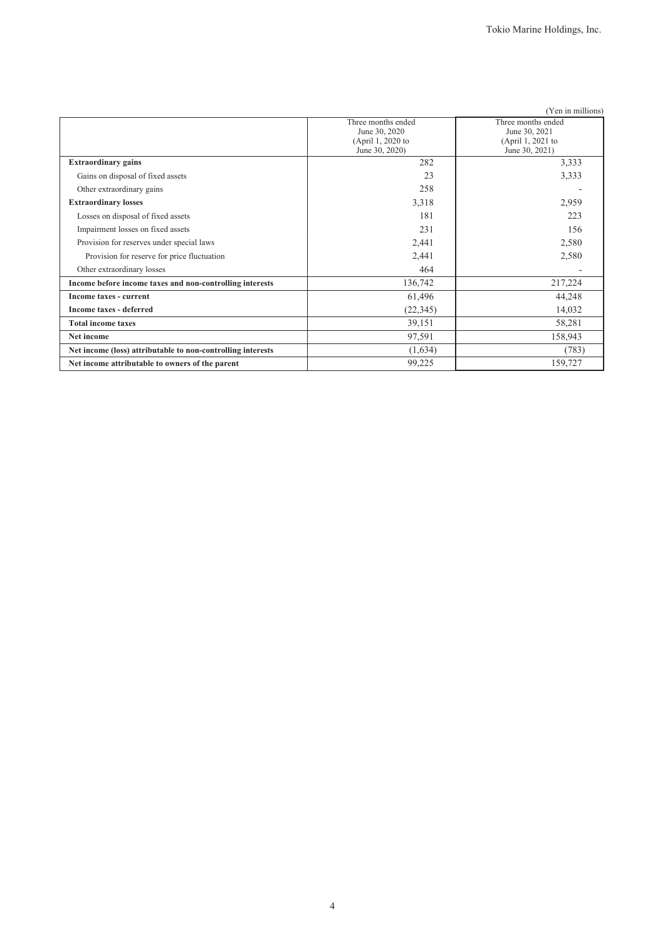|                                                             |                                                                            | (Yen in millions)                                                          |
|-------------------------------------------------------------|----------------------------------------------------------------------------|----------------------------------------------------------------------------|
|                                                             | Three months ended<br>June 30, 2020<br>(April 1, 2020 to<br>June 30, 2020) | Three months ended<br>June 30, 2021<br>(April 1, 2021 to<br>June 30, 2021) |
| <b>Extraordinary gains</b>                                  | 282                                                                        | 3,333                                                                      |
| Gains on disposal of fixed assets                           | 23                                                                         | 3,333                                                                      |
| Other extraordinary gains                                   | 258                                                                        |                                                                            |
| <b>Extraordinary losses</b>                                 | 3,318                                                                      | 2,959                                                                      |
| Losses on disposal of fixed assets                          | 181                                                                        | 223                                                                        |
| Impairment losses on fixed assets                           | 231                                                                        | 156                                                                        |
| Provision for reserves under special laws                   | 2,441                                                                      | 2,580                                                                      |
| Provision for reserve for price fluctuation                 | 2,441                                                                      | 2,580                                                                      |
| Other extraordinary losses                                  | 464                                                                        |                                                                            |
| Income before income taxes and non-controlling interests    | 136,742                                                                    | 217,224                                                                    |
| Income taxes - current                                      | 61,496                                                                     | 44,248                                                                     |
| Income taxes - deferred                                     | (22, 345)                                                                  | 14,032                                                                     |
| <b>Total income taxes</b>                                   | 39,151                                                                     | 58,281                                                                     |
| Net income                                                  | 97,591                                                                     | 158,943                                                                    |
| Net income (loss) attributable to non-controlling interests | (1,634)                                                                    | (783)                                                                      |
| Net income attributable to owners of the parent             | 99,225                                                                     | 159,727                                                                    |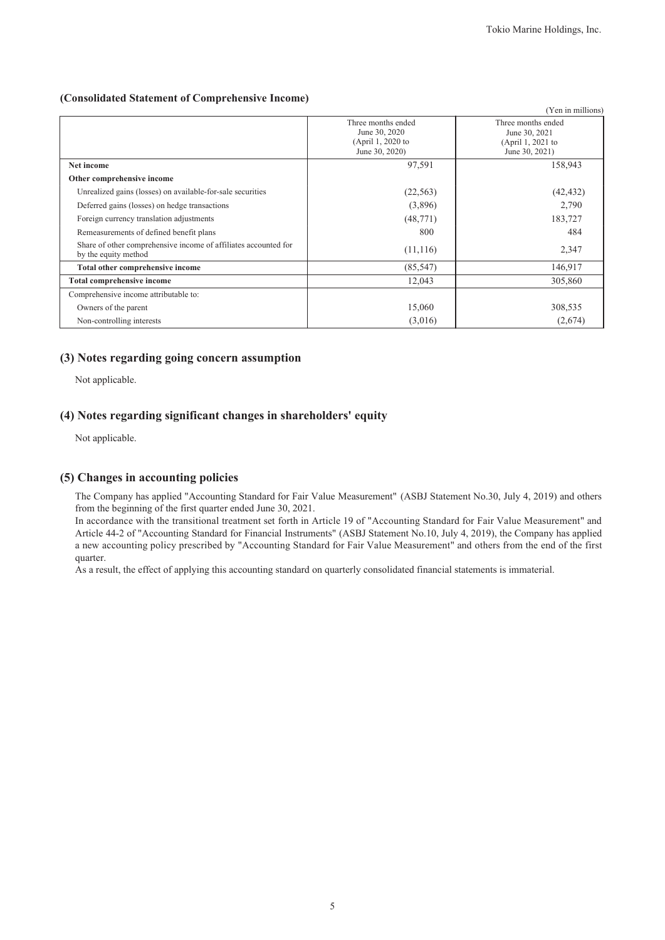### **(Consolidated Statement of Comprehensive Income)**

|                                                                                         |                                                                            | (Yen in millions)                                                          |
|-----------------------------------------------------------------------------------------|----------------------------------------------------------------------------|----------------------------------------------------------------------------|
|                                                                                         | Three months ended<br>June 30, 2020<br>(April 1, 2020 to<br>June 30, 2020) | Three months ended<br>June 30, 2021<br>(April 1, 2021 to<br>June 30, 2021) |
| Net income                                                                              | 97,591                                                                     | 158,943                                                                    |
| Other comprehensive income                                                              |                                                                            |                                                                            |
| Unrealized gains (losses) on available-for-sale securities                              | (22, 563)                                                                  | (42, 432)                                                                  |
| Deferred gains (losses) on hedge transactions                                           | (3,896)                                                                    | 2,790                                                                      |
| Foreign currency translation adjustments                                                | (48, 771)                                                                  | 183,727                                                                    |
| Remeasurements of defined benefit plans                                                 | 800                                                                        | 484                                                                        |
| Share of other comprehensive income of affiliates accounted for<br>by the equity method | (11, 116)                                                                  | 2,347                                                                      |
| Total other comprehensive income                                                        | (85, 547)                                                                  | 146,917                                                                    |
| <b>Total comprehensive income</b>                                                       | 12,043                                                                     | 305,860                                                                    |
| Comprehensive income attributable to:                                                   |                                                                            |                                                                            |
| Owners of the parent                                                                    | 15,060                                                                     | 308,535                                                                    |
| Non-controlling interests                                                               | (3,016)                                                                    | (2,674)                                                                    |

### **(3) Notes regarding going concern assumption**

Not applicable.

### **(4) Notes regarding significant changes in shareholders' equity**

Not applicable.

### **(5) Changes in accounting policies**

The Company has applied "Accounting Standard for Fair Value Measurement" (ASBJ Statement No.30, July 4, 2019) and others from the beginning of the first quarter ended June 30, 2021.

In accordance with the transitional treatment set forth in Article 19 of "Accounting Standard for Fair Value Measurement" and Article 44-2 of "Accounting Standard for Financial Instruments" (ASBJ Statement No.10, July 4, 2019), the Company has applied a new accounting policy prescribed by "Accounting Standard for Fair Value Measurement" and others from the end of the first quarter.

As a result, the effect of applying this accounting standard on quarterly consolidated financial statements is immaterial.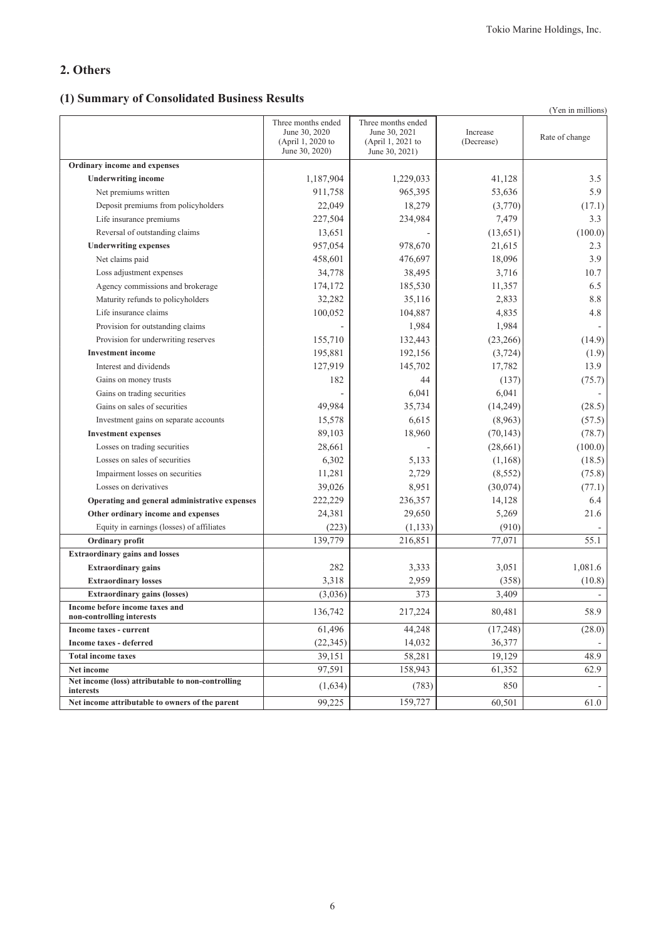## **2. Others**

## **(1) Summary of Consolidated Business Results**

|                                                                |                                                                            |                                                                            |                        | (Yen in millions) |
|----------------------------------------------------------------|----------------------------------------------------------------------------|----------------------------------------------------------------------------|------------------------|-------------------|
|                                                                | Three months ended<br>June 30, 2020<br>(April 1, 2020 to<br>June 30, 2020) | Three months ended<br>June 30, 2021<br>(April 1, 2021 to<br>June 30, 2021) | Increase<br>(Decrease) | Rate of change    |
| Ordinary income and expenses                                   |                                                                            |                                                                            |                        |                   |
| <b>Underwriting income</b>                                     | 1,187,904                                                                  | 1,229,033                                                                  | 41,128                 | 3.5               |
| Net premiums written                                           | 911,758                                                                    | 965,395                                                                    | 53,636                 | 5.9               |
| Deposit premiums from policyholders                            | 22,049                                                                     | 18,279                                                                     | (3,770)                | (17.1)            |
| Life insurance premiums                                        | 227,504                                                                    | 234,984                                                                    | 7,479                  | 3.3               |
| Reversal of outstanding claims                                 | 13,651                                                                     |                                                                            | (13, 651)              | (100.0)           |
| <b>Underwriting expenses</b>                                   | 957,054                                                                    | 978,670                                                                    | 21,615                 | 2.3               |
| Net claims paid                                                | 458,601                                                                    | 476,697                                                                    | 18,096                 | 3.9               |
| Loss adjustment expenses                                       | 34,778                                                                     | 38,495                                                                     | 3,716                  | 10.7              |
| Agency commissions and brokerage                               | 174,172                                                                    | 185,530                                                                    | 11,357                 | 6.5               |
| Maturity refunds to policyholders                              | 32,282                                                                     | 35,116                                                                     | 2,833                  | 8.8               |
| Life insurance claims                                          | 100,052                                                                    | 104,887                                                                    | 4,835                  | 4.8               |
| Provision for outstanding claims                               |                                                                            | 1,984                                                                      | 1,984                  |                   |
| Provision for underwriting reserves                            | 155,710                                                                    | 132,443                                                                    | (23, 266)              | (14.9)            |
| <b>Investment</b> income                                       | 195,881                                                                    | 192,156                                                                    | (3, 724)               | (1.9)             |
| Interest and dividends                                         | 127,919                                                                    | 145,702                                                                    | 17,782                 | 13.9              |
| Gains on money trusts                                          | 182                                                                        | 44                                                                         | (137)                  | (75.7)            |
| Gains on trading securities                                    |                                                                            | 6,041                                                                      | 6,041                  |                   |
| Gains on sales of securities                                   | 49,984                                                                     | 35,734                                                                     | (14,249)               | (28.5)            |
| Investment gains on separate accounts                          | 15,578                                                                     | 6,615                                                                      | (8,963)                | (57.5)            |
| <b>Investment expenses</b>                                     | 89,103                                                                     | 18,960                                                                     | (70, 143)              | (78.7)            |
| Losses on trading securities                                   | 28,661                                                                     |                                                                            | (28,661)               | (100.0)           |
| Losses on sales of securities                                  | 6,302                                                                      | 5,133                                                                      | (1,168)                | (18.5)            |
| Impairment losses on securities                                | 11,281                                                                     | 2,729                                                                      | (8, 552)               | (75.8)            |
| Losses on derivatives                                          | 39,026                                                                     | 8,951                                                                      | (30,074)               | (77.1)            |
| Operating and general administrative expenses                  | 222,229                                                                    | 236,357                                                                    | 14,128                 | 6.4               |
| Other ordinary income and expenses                             | 24,381                                                                     | 29,650                                                                     | 5,269                  | 21.6              |
| Equity in earnings (losses) of affiliates                      | (223)                                                                      | (1, 133)                                                                   | (910)                  |                   |
| Ordinary profit                                                | 139,779                                                                    | 216,851                                                                    | 77,071                 | 55.1              |
| <b>Extraordinary gains and losses</b>                          |                                                                            |                                                                            |                        |                   |
| <b>Extraordinary gains</b>                                     | 282                                                                        | 3,333                                                                      | 3,051                  | 1,081.6           |
| <b>Extraordinary losses</b>                                    | 3,318                                                                      | 2,959                                                                      | (358)                  | (10.8)            |
| <b>Extraordinary gains (losses)</b>                            | (3,036)                                                                    | 373                                                                        | 3,409                  |                   |
| Income before income taxes and<br>non-controlling interests    | 136,742                                                                    | 217,224                                                                    | 80,481                 | 58.9              |
| Income taxes - current                                         | 61,496                                                                     | 44,248                                                                     | (17, 248)              | (28.0)            |
| <b>Income taxes - deferred</b>                                 | (22, 345)                                                                  | 14,032                                                                     | 36,377                 |                   |
| <b>Total income taxes</b>                                      | 39,151                                                                     | 58,281                                                                     | 19,129                 | 48.9              |
| Net income                                                     | 97,591                                                                     | 158,943                                                                    | 61,352                 | 62.9              |
| Net income (loss) attributable to non-controlling<br>interests | (1,634)                                                                    | (783)                                                                      | 850                    |                   |
| Net income attributable to owners of the parent                | 99,225                                                                     | 159,727                                                                    | 60,501                 | 61.0              |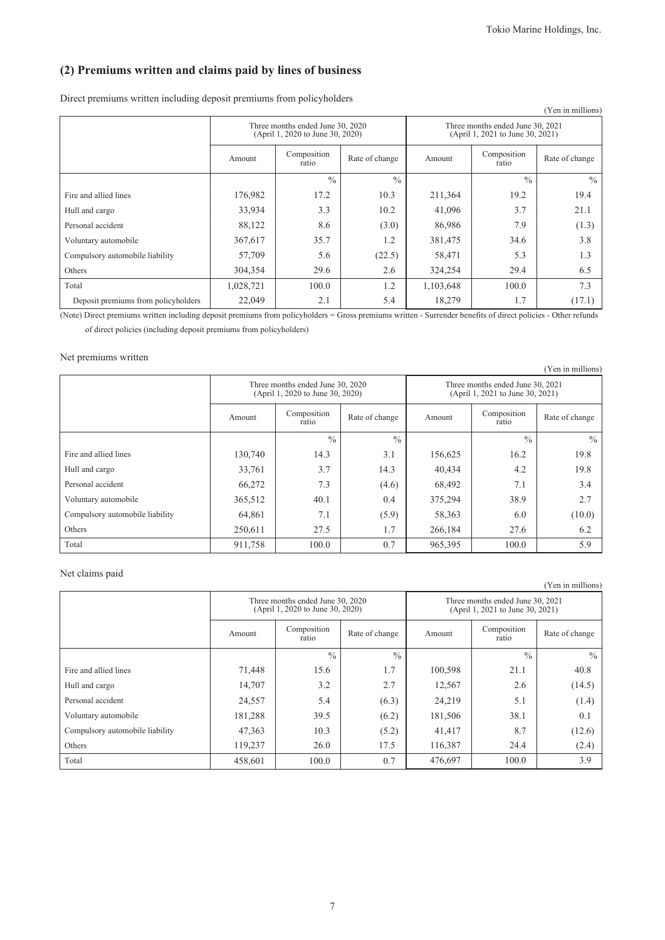## **(2) Premiums written and claims paid by lines of business**

Direct premiums written including deposit premiums from policyholders

|                                     |                                                  |                                                                      |               |           |                                                                      | (Yen in millions) |
|-------------------------------------|--------------------------------------------------|----------------------------------------------------------------------|---------------|-----------|----------------------------------------------------------------------|-------------------|
|                                     |                                                  | Three months ended June 30, 2020<br>(April 1, 2020 to June 30, 2020) |               |           | Three months ended June 30, 2021<br>(April 1, 2021 to June 30, 2021) |                   |
|                                     | Composition<br>Rate of change<br>Amount<br>ratio |                                                                      |               | Amount    | Composition<br>ratio                                                 | Rate of change    |
|                                     |                                                  | $\frac{0}{0}$                                                        | $\frac{0}{0}$ |           | $\frac{0}{0}$                                                        | $\frac{0}{0}$     |
| Fire and allied lines               | 176,982                                          | 17.2                                                                 | 10.3          | 211,364   | 19.2                                                                 | 19.4              |
| Hull and cargo                      | 33,934                                           | 3.3                                                                  | 10.2          | 41,096    | 3.7                                                                  | 21.1              |
| Personal accident                   | 88,122                                           | 8.6                                                                  | (3.0)         | 86,986    | 7.9                                                                  | (1.3)             |
| Voluntary automobile                | 367,617                                          | 35.7                                                                 | 1.2           | 381,475   | 34.6                                                                 | 3.8               |
| Compulsory automobile liability     | 57,709                                           | 5.6                                                                  | (22.5)        | 58,471    | 5.3                                                                  | 1.3               |
| Others                              | 304,354                                          | 29.6                                                                 | 2.6           | 324,254   | 29.4                                                                 | 6.5               |
| Total                               | 1,028,721                                        | 100.0                                                                | 1.2           | 1,103,648 | 100.0                                                                | 7.3               |
| Deposit premiums from policyholders | 22,049                                           | 2.1                                                                  | 5.4           | 18,279    | 1.7                                                                  | (17.1)            |

(Note) Direct premiums written including deposit premiums from policyholders = Gross premiums written - Surrender benefits of direct policies - Other refunds of direct policies (including deposit premiums from policyholders)

#### Net premiums written

|                                 |                                                  |                                                                      |               |                      |                                                                      | (Yen in millions) |
|---------------------------------|--------------------------------------------------|----------------------------------------------------------------------|---------------|----------------------|----------------------------------------------------------------------|-------------------|
|                                 |                                                  | Three months ended June 30, 2020<br>(April 1, 2020 to June 30, 2020) |               |                      | Three months ended June 30, 2021<br>(April 1, 2021 to June 30, 2021) |                   |
|                                 | Composition<br>Rate of change<br>Amount<br>ratio |                                                                      | Amount        | Composition<br>ratio | Rate of change                                                       |                   |
|                                 |                                                  | $\frac{0}{0}$                                                        | $\frac{0}{0}$ |                      | $\frac{0}{0}$                                                        | $\frac{0}{0}$     |
| Fire and allied lines           | 130,740                                          | 14.3                                                                 | 3.1           | 156,625              | 16.2                                                                 | 19.8              |
| Hull and cargo                  | 33,761                                           | 3.7                                                                  | 14.3          | 40,434               | 4.2                                                                  | 19.8              |
| Personal accident               | 66,272                                           | 7.3                                                                  | (4.6)         | 68,492               | 7.1                                                                  | 3.4               |
| Voluntary automobile            | 365,512                                          | 40.1                                                                 | 0.4           | 375,294              | 38.9                                                                 | 2.7               |
| Compulsory automobile liability | 64,861                                           | 7.1                                                                  | (5.9)         | 58,363               | 6.0                                                                  | (10.0)            |
| Others                          | 250,611                                          | 27.5                                                                 | 1.7           | 266,184              | 27.6                                                                 | 6.2               |
| Total                           | 911,758                                          | 100.0                                                                | 0.7           | 965,395              | 100.0                                                                | 5.9               |

#### Net claims paid

|                                 |         | Three months ended June 30, 2020<br>(April 1, 2020 to June 30, 2020) |                | Three months ended June 30, 2021<br>(April 1, 2021 to June 30, 2021) |                      |                |
|---------------------------------|---------|----------------------------------------------------------------------|----------------|----------------------------------------------------------------------|----------------------|----------------|
|                                 | Amount  | Composition<br>ratio                                                 | Rate of change | Amount                                                               | Composition<br>ratio | Rate of change |
|                                 |         | $\frac{0}{0}$                                                        | $\frac{0}{0}$  |                                                                      | $\frac{0}{0}$        | $\frac{0}{0}$  |
| Fire and allied lines           | 71,448  | 15.6                                                                 | 1.7            | 100,598                                                              | 21.1                 | 40.8           |
| Hull and cargo                  | 14,707  | 3.2                                                                  | 2.7            | 12,567                                                               | 2.6                  | (14.5)         |
| Personal accident               | 24,557  | 5.4                                                                  | (6.3)          | 24,219                                                               | 5.1                  | (1.4)          |
| Voluntary automobile            | 181,288 | 39.5                                                                 | (6.2)          | 181,506                                                              | 38.1                 | 0.1            |
| Compulsory automobile liability | 47,363  | 10.3                                                                 | (5.2)          | 41,417                                                               | 8.7                  | (12.6)         |
| Others                          | 119.237 | 26.0                                                                 | 17.5           | 116.387                                                              | 24.4                 | (2.4)          |
| Total                           | 458,601 | 100.0                                                                | 0.7            | 476,697                                                              | 100.0                | 3.9            |

(Yen in millions)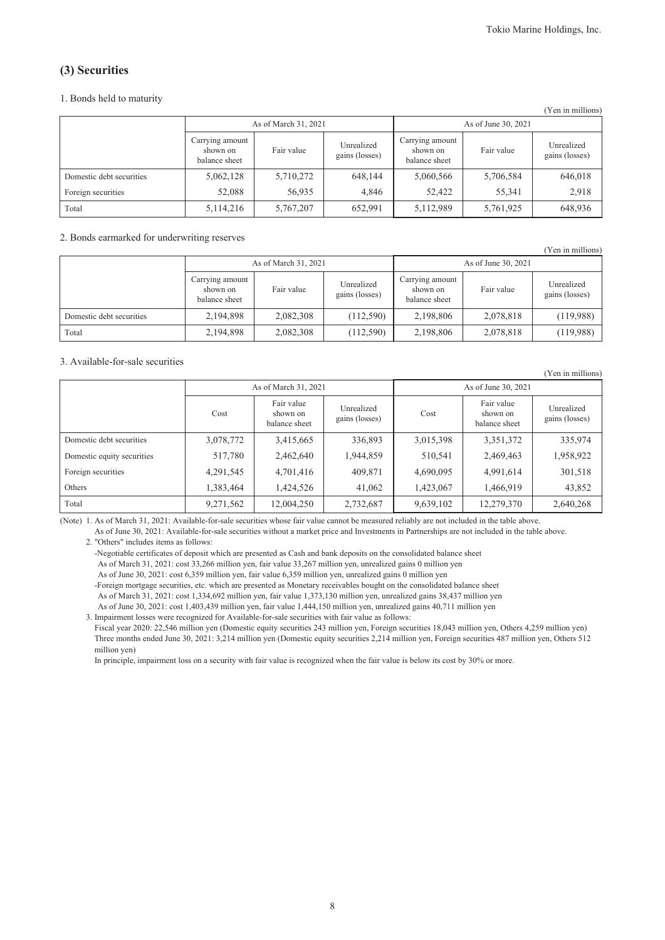$(Y_{\text{out}})$  in millions)

### **(3) Securities**

#### 1. Bonds held to maturity

|                          |                                              | As of March 31, 2021 |                              | As of June 30, 2021                          |            |                              |  |  |
|--------------------------|----------------------------------------------|----------------------|------------------------------|----------------------------------------------|------------|------------------------------|--|--|
|                          | Carrying amount<br>shown on<br>balance sheet | Fair value           | Unrealized<br>gains (losses) | Carrying amount<br>shown on<br>balance sheet | Fair value | Unrealized<br>gains (losses) |  |  |
| Domestic debt securities | 5,062,128                                    | 5,710,272            | 648.144                      | 5,060,566                                    | 5,706,584  | 646,018                      |  |  |
| Foreign securities       | 52,088                                       | 56,935               | 4.846                        | 52,422                                       | 55,341     | 2,918                        |  |  |
| Total                    | 5, 114, 216                                  | 5,767,207            | 652,991                      | 5,112,989                                    | 5,761,925  | 648,936                      |  |  |

#### 2. Bonds earmarked for underwriting reserves

|                          |                                              |            |                              |                                              |            | (Yen in millions)            |
|--------------------------|----------------------------------------------|------------|------------------------------|----------------------------------------------|------------|------------------------------|
| As of March 31, 2021     |                                              |            |                              | As of June 30, 2021                          |            |                              |
|                          | Carrying amount<br>shown on<br>balance sheet | Fair value | Unrealized<br>gains (losses) | Carrying amount<br>shown on<br>balance sheet | Fair value | Unrealized<br>gains (losses) |
| Domestic debt securities | 2,194,898                                    | 2,082,308  | (112,590)                    | 2,198,806                                    | 2,078,818  | (119,988)                    |
| Total                    | 2,194,898                                    | 2,082,308  | (112,590)                    | 2,198,806                                    | 2,078,818  | (119,988)                    |

#### 3. Available-for-sale securities

|                            |           |                                                                         |           |           |                                         | (Yen in millions)            |  |
|----------------------------|-----------|-------------------------------------------------------------------------|-----------|-----------|-----------------------------------------|------------------------------|--|
|                            |           | As of March 31, 2021                                                    |           |           | As of June 30, 2021                     |                              |  |
|                            | Cost      | Fair value<br>Unrealized<br>shown on<br>gains (losses)<br>balance sheet |           | Cost      | Fair value<br>shown on<br>balance sheet | Unrealized<br>gains (losses) |  |
| Domestic debt securities   | 3,078,772 | 3,415,665                                                               | 336,893   | 3,015,398 | 3,351,372                               | 335,974                      |  |
| Domestic equity securities | 517,780   | 2,462,640                                                               | 1,944,859 | 510,541   | 2,469,463                               | 1,958,922                    |  |
| Foreign securities         | 4,291,545 | 4,701,416                                                               | 409,871   | 4,690,095 | 4,991,614                               | 301,518                      |  |
| Others                     | 1,383,464 | 1,424,526                                                               | 41,062    | 1,423,067 | 1,466,919                               | 43,852                       |  |
| Total                      | 9,271,562 | 12,004,250                                                              | 2,732,687 | 9,639,102 | 12,279,370                              | 2,640,268                    |  |

(Note) 1. As of March 31, 2021: Available-for-sale securities whose fair value cannot be measured reliably are not included in the table above.

As of June 30, 2021: Available-for-sale securities without a market price and Investments in Partnerships are not included in the table above. 2. "Others" includes items as follows:

-Negotiable certificates of deposit which are presented as Cash and bank deposits on the consolidated balance sheet As of March 31, 2021: cost 33,266 million yen, fair value 33,267 million yen, unrealized gains 0 million yen As of June 30, 2021: cost 6,359 million yen, fair value 6,359 million yen, unrealized gains 0 million yen

-Foreign mortgage securities, etc. which are presented as Monetary receivables bought on the consolidated balance sheet As of March 31, 2021: cost 1,334,692 million yen, fair value 1,373,130 million yen, unrealized gains 38,437 million yen As of June 30, 2021: cost 1,403,439 million yen, fair value 1,444,150 million yen, unrealized gains 40,711 million yen 3. Impairment losses were recognized for Available-for-sale securities with fair value as follows:

Fiscal year 2020: 22,546 million yen (Domestic equity securities 243 million yen, Foreign securities 18,043 million yen, Others 4,259 million yen) Three months ended June 30, 2021: 3,214 million yen (Domestic equity securities 2,214 million yen, Foreign securities 487 million yen, Others 512 million yen)

In principle, impairment loss on a security with fair value is recognized when the fair value is below its cost by 30% or more.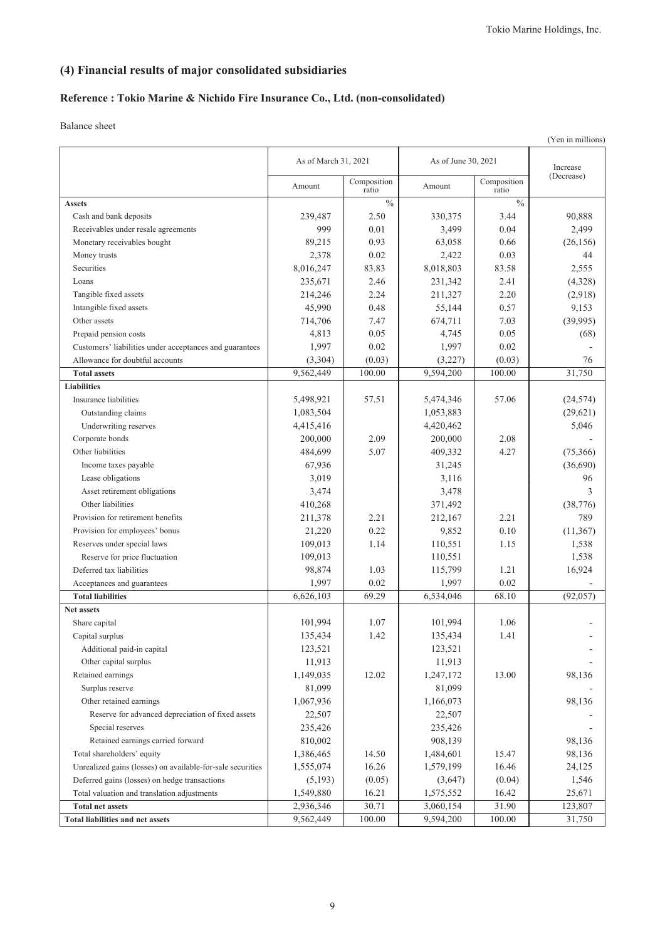## **(4) Financial results of major consolidated subsidiaries**

### **Reference : Tokio Marine & Nichido Fire Insurance Co., Ltd. (non-consolidated)**

|                                                            |                      |                      |                     |                      | (Yen in millions) |
|------------------------------------------------------------|----------------------|----------------------|---------------------|----------------------|-------------------|
|                                                            | As of March 31, 2021 |                      | As of June 30, 2021 |                      | Increase          |
|                                                            | Amount               | Composition<br>ratio | Amount              | Composition<br>ratio | (Decrease)        |
| <b>Assets</b>                                              |                      | $\frac{0}{0}$        |                     | $\frac{0}{0}$        |                   |
| Cash and bank deposits                                     | 239,487              | 2.50                 | 330,375             | 3.44                 | 90,888            |
| Receivables under resale agreements                        | 999                  | 0.01                 | 3,499               | 0.04                 | 2,499             |
| Monetary receivables bought                                | 89,215               | 0.93                 | 63,058              | 0.66                 | (26, 156)         |
| Money trusts                                               | 2,378                | 0.02                 | 2,422               | 0.03                 | 44                |
| Securities                                                 | 8,016,247            | 83.83                | 8,018,803           | 83.58                | 2,555             |
| Loans                                                      | 235,671              | 2.46                 | 231,342             | 2.41                 | (4,328)           |
| Tangible fixed assets                                      | 214,246              | 2.24                 | 211,327             | 2.20                 | (2,918)           |
| Intangible fixed assets                                    | 45,990               | 0.48                 | 55,144              | 0.57                 | 9,153             |
| Other assets                                               | 714,706              | 7.47                 | 674,711             | 7.03                 | (39,995)          |
| Prepaid pension costs                                      | 4,813                | 0.05                 | 4,745               | 0.05                 | (68)              |
| Customers' liabilities under acceptances and guarantees    | 1,997                | 0.02                 | 1,997               | 0.02                 |                   |
| Allowance for doubtful accounts                            | (3,304)              | (0.03)               | (3,227)             | (0.03)               | 76                |
| <b>Total assets</b>                                        | 9,562,449            | 100.00               | 9,594,200           | 100.00               | 31,750            |
| <b>Liabilities</b>                                         |                      |                      |                     |                      |                   |
| Insurance liabilities                                      | 5,498,921            | 57.51                | 5,474,346           | 57.06                | (24, 574)         |
| Outstanding claims                                         | 1,083,504            |                      | 1,053,883           |                      | (29,621)          |
| Underwriting reserves                                      | 4,415,416            |                      | 4,420,462           |                      | 5,046             |
| Corporate bonds                                            | 200,000              | 2.09                 | 200,000             | 2.08                 |                   |
| Other liabilities                                          | 484,699              | 5.07                 | 409,332             | 4.27                 | (75, 366)         |
| Income taxes payable                                       | 67,936               |                      | 31,245              |                      | (36,690)          |
| Lease obligations                                          | 3,019                |                      | 3,116               |                      | 96                |
| Asset retirement obligations                               | 3,474                |                      | 3,478               |                      | 3                 |
| Other liabilities                                          | 410,268              |                      | 371,492             |                      | (38, 776)         |
| Provision for retirement benefits                          | 211,378              | 2.21                 | 212,167             | 2.21                 | 789               |
| Provision for employees' bonus                             | 21,220               | 0.22                 | 9,852               | 0.10                 | (11, 367)         |
| Reserves under special laws                                | 109,013              | 1.14                 | 110,551             | 1.15                 | 1,538             |
| Reserve for price fluctuation                              | 109,013              |                      | 110,551             |                      | 1,538             |
| Deferred tax liabilities                                   | 98,874               | 1.03                 | 115,799             | 1.21                 | 16,924            |
| Acceptances and guarantees                                 | 1,997                | 0.02                 | 1,997               | 0.02                 |                   |
| <b>Total liabilities</b>                                   | 6,626,103            | 69.29                | 6,534,046           | 68.10                | (92, 057)         |
| Net assets                                                 |                      |                      |                     |                      |                   |
| Share capital                                              | 101,994              | 1.07                 | 101,994             | 1.06                 |                   |
| Capital surplus                                            | 135,434              | 1.42                 | 135,434             | 1.41                 |                   |
| Additional paid-in capital                                 | 123,521              |                      | 123,521             |                      |                   |
| Other capital surplus                                      | 11,913               |                      | 11,913              |                      |                   |
| Retained earnings                                          | 1,149,035            | 12.02                | 1,247,172           | 13.00                | 98,136            |
| Surplus reserve                                            | 81,099               |                      | 81,099              |                      |                   |
| Other retained earnings                                    | 1,067,936            |                      | 1,166,073           |                      | 98,136            |
| Reserve for advanced depreciation of fixed assets          | 22,507               |                      | 22,507              |                      |                   |
| Special reserves                                           | 235,426              |                      | 235,426             |                      |                   |
| Retained earnings carried forward                          | 810,002              |                      | 908,139             |                      | 98,136            |
| Total shareholders' equity                                 | 1,386,465            | 14.50                | 1,484,601           | 15.47                | 98,136            |
| Unrealized gains (losses) on available-for-sale securities | 1,555,074            | 16.26                | 1,579,199           | 16.46                | 24,125            |
| Deferred gains (losses) on hedge transactions              | (5,193)              | (0.05)               | (3,647)             | (0.04)               | 1,546             |
| Total valuation and translation adjustments                | 1,549,880            | 16.21                | 1,575,552           | 16.42                | 25,671            |
| <b>Total net assets</b>                                    | 2,936,346            | 30.71                | 3,060,154           | 31.90                | 123,807           |
| <b>Total liabilities and net assets</b>                    | 9,562,449            | 100.00               | 9,594,200           | 100.00               | 31,750            |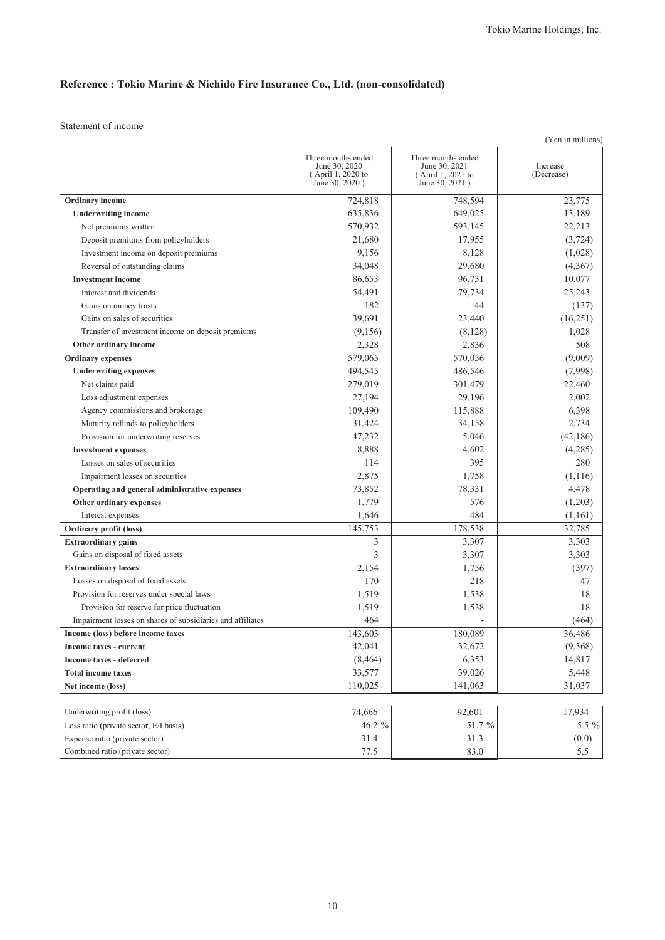## **Reference : Tokio Marine & Nichido Fire Insurance Co., Ltd. (non-consolidated)**

Statement of income

|                                                            |                                                                            |                                                                            | (Yen in millions)      |
|------------------------------------------------------------|----------------------------------------------------------------------------|----------------------------------------------------------------------------|------------------------|
|                                                            | Three months ended<br>June 30, 2020<br>(April 1, 2020 to<br>June 30, 2020) | Three months ended<br>June 30, 2021<br>(April 1, 2021 to<br>June 30, 2021) | Increase<br>(Decrease) |
| Ordinary income                                            | 724,818                                                                    | 748,594                                                                    | 23,775                 |
| <b>Underwriting income</b>                                 | 635,836                                                                    | 649,025                                                                    | 13,189                 |
| Net premiums written                                       | 570,932                                                                    | 593,145                                                                    | 22,213                 |
| Deposit premiums from policyholders                        | 21,680                                                                     | 17,955                                                                     | (3, 724)               |
| Investment income on deposit premiums                      | 9,156                                                                      | 8,128                                                                      | (1,028)                |
| Reversal of outstanding claims                             | 34,048                                                                     | 29,680                                                                     | (4,367)                |
| <b>Investment</b> income                                   | 86,653                                                                     | 96,731                                                                     | 10,077                 |
| Interest and dividends                                     | 54,491                                                                     | 79,734                                                                     | 25,243                 |
| Gains on money trusts                                      | 182                                                                        | 44                                                                         | (137)                  |
| Gains on sales of securities                               | 39,691                                                                     | 23,440                                                                     | (16,251)               |
| Transfer of investment income on deposit premiums          | (9,156)                                                                    | (8,128)                                                                    | 1,028                  |
| Other ordinary income                                      | 2,328                                                                      | 2,836                                                                      | 508                    |
| <b>Ordinary</b> expenses                                   | 579,065                                                                    | 570,056                                                                    | (9,009)                |
| <b>Underwriting expenses</b>                               | 494,545                                                                    | 486,546                                                                    | (7,998)                |
| Net claims paid                                            | 279,019                                                                    | 301,479                                                                    | 22,460                 |
| Loss adjustment expenses                                   | 27,194                                                                     | 29,196                                                                     | 2,002                  |
| Agency commissions and brokerage                           | 109,490                                                                    | 115,888                                                                    | 6,398                  |
| Maturity refunds to policyholders                          | 31,424                                                                     | 34,158                                                                     | 2,734                  |
| Provision for underwriting reserves                        | 47,232                                                                     | 5,046                                                                      | (42, 186)              |
| <b>Investment expenses</b>                                 | 8,888                                                                      | 4,602                                                                      | (4,285)                |
| Losses on sales of securities                              | 114                                                                        | 395                                                                        | 280                    |
| Impairment losses on securities                            | 2,875                                                                      | 1,758                                                                      | (1, 116)               |
| Operating and general administrative expenses              | 73,852                                                                     | 78,331                                                                     | 4,478                  |
| Other ordinary expenses                                    | 1,779                                                                      | 576                                                                        | (1,203)                |
| Interest expenses                                          | 1,646                                                                      | 484                                                                        | (1,161)                |
| <b>Ordinary profit (loss)</b>                              | 145,753                                                                    | 178,538                                                                    | 32,785                 |
| <b>Extraordinary gains</b>                                 | 3                                                                          | 3,307                                                                      | 3,303                  |
| Gains on disposal of fixed assets                          | 3                                                                          | 3,307                                                                      | 3,303                  |
| <b>Extraordinary losses</b>                                | 2,154                                                                      | 1,756                                                                      | (397)                  |
| Losses on disposal of fixed assets                         | 170                                                                        | 218                                                                        | 47                     |
| Provision for reserves under special laws                  | 1,519                                                                      | 1,538                                                                      | 18                     |
| Provision for reserve for price fluctuation                | 1,519                                                                      | 1,538                                                                      | 18                     |
| Impairment losses on shares of subsidiaries and affiliates | 464                                                                        |                                                                            | (464)                  |
| Income (loss) before income taxes                          | 143,603                                                                    | 180,089                                                                    | 36,486                 |
| Income taxes - current                                     | 42,041                                                                     | 32,672                                                                     | (9,368)                |
| <b>Income taxes - deferred</b>                             | (8, 464)                                                                   | 6,353                                                                      | 14,817                 |
| <b>Total income taxes</b>                                  | 33,577                                                                     | 39,026                                                                     | 5,448                  |
| Net income (loss)                                          | 110,025                                                                    | 141,063                                                                    | 31,037                 |
|                                                            |                                                                            |                                                                            |                        |
| Underwriting profit (loss)                                 | 74,666                                                                     | 92,601                                                                     | 17,934                 |
| Loss ratio (private sector, E/I basis)                     | 46.2 %                                                                     | 51.7%                                                                      | 5.5 %                  |
| Expense ratio (private sector)                             | 31.4                                                                       | 31.3                                                                       | (0.0)                  |
| Combined ratio (private sector)                            | 77.5                                                                       | 83.0                                                                       | 5.5                    |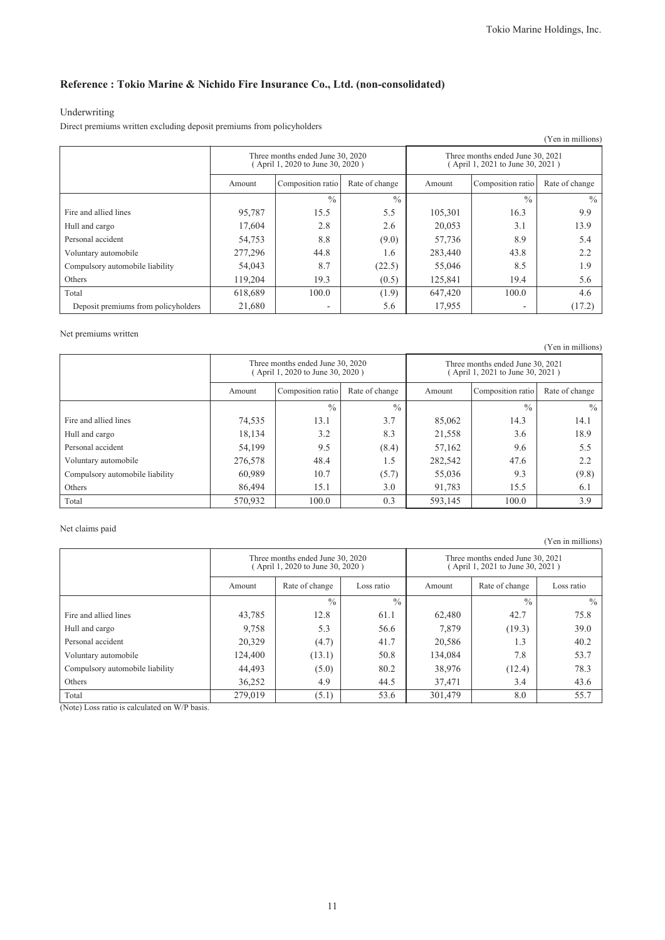### **Reference : Tokio Marine & Nichido Fire Insurance Co., Ltd. (non-consolidated)**

#### Underwriting

Direct premiums written excluding deposit premiums from policyholders

| (Yen in millions)                   |                                                                      |                   |                |                                                                      |                   |                |  |  |  |
|-------------------------------------|----------------------------------------------------------------------|-------------------|----------------|----------------------------------------------------------------------|-------------------|----------------|--|--|--|
|                                     | Three months ended June 30, 2020<br>(April 1, 2020 to June 30, 2020) |                   |                | Three months ended June 30, 2021<br>(April 1, 2021 to June 30, 2021) |                   |                |  |  |  |
|                                     | Amount                                                               | Composition ratio | Rate of change | Amount                                                               | Composition ratio | Rate of change |  |  |  |
|                                     |                                                                      | $\frac{0}{0}$     | $\frac{0}{0}$  |                                                                      | $\frac{0}{0}$     | $\frac{0}{0}$  |  |  |  |
| Fire and allied lines               | 95,787                                                               | 15.5              | 5.5            | 105,301                                                              | 16.3              | 9.9            |  |  |  |
| Hull and cargo                      | 17,604                                                               | 2.8               | 2.6            | 20,053                                                               | 3.1               | 13.9           |  |  |  |
| Personal accident                   | 54,753                                                               | 8.8               | (9.0)          | 57,736                                                               | 8.9               | 5.4            |  |  |  |
| Voluntary automobile                | 277,296                                                              | 44.8              | 1.6            | 283,440                                                              | 43.8              | 2.2            |  |  |  |
| Compulsory automobile liability     | 54,043                                                               | 8.7               | (22.5)         | 55,046                                                               | 8.5               | 1.9            |  |  |  |
| Others                              | 119,204                                                              | 19.3              | (0.5)          | 125,841                                                              | 19.4              | 5.6            |  |  |  |
| Total                               | 618,689                                                              | 100.0             | (1.9)          | 647,420                                                              | 100.0             | 4.6            |  |  |  |
| Deposit premiums from policyholders | 21,680                                                               | ۰                 | 5.6            | 17,955                                                               | ۰                 | (17.2)         |  |  |  |

#### Net premiums written

(Yen in millions) Three months ended June 30, 2020 ( April 1, 2020 to June 30, 2020 ) Three months ended June 30, 2021 ( April 1, 2021 to June 30, 2021 ) Amount Composition ratio Rate of change Amount Composition ratio Rate of change  $\frac{9}{6}$  %  $\frac{9}{6}$  %  $\frac{9}{6}$  % Fire and allied lines 14.1 13.1 13.1 3.7 85,062 14.3 14.1 Hull and cargo 18,134 18,134 3.2 8.3 21,558 3.6 18.9 Personal accident 199.5 (8.4) 57,162 9.6 5.5 Voluntary automobile 276,578 48.4 1.5 282,542 47.6 2.2 Compulsory automobile liability  $60,989$   $10.7$   $(5.7)$   $55,036$  9.3 (9.8) Others 15.1 15.1 3.0 91,783 15.5 6.1 6.1 Total 100.0 | 570,932 | 100.0 | 0.3 | 593,145 | 100.0 | 3.9

#### Net claims paid

Three months ended June 30, 2020 ( April 1, 2020 to June 30, 2020 ) Three months ended June 30, 2021 ( April 1, 2021 to June 30, 2021 ) Amount Rate of change Loss ratio Amount Rate of change Loss ratio  $\frac{9}{6}$  %  $\frac{9}{6}$  %  $\frac{9}{6}$  % Fire and allied lines 12.8 12.8 61.1 62,480 42.7 75.8 Hull and cargo 9,758 5.3 56.6 7,879 (19.3) 39.0 Personal accident 20,329 (4.7) 41.7 20,586 1.3 40.2 Voluntary automobile 124,400 (13.1) 50.8 134,084 7.8 53.7 Compulsory automobile liability (5.0) 80.2 38,976 (12.4) 78.3 Others 1. 1. 2.6,252 4.9 4.5 37,471 3.4 4.5 Total 279,019 (5.1) 53.6 301,479 8.0 55.7

(Note) Loss ratio is calculated on W/P basis.

(Yen in millions)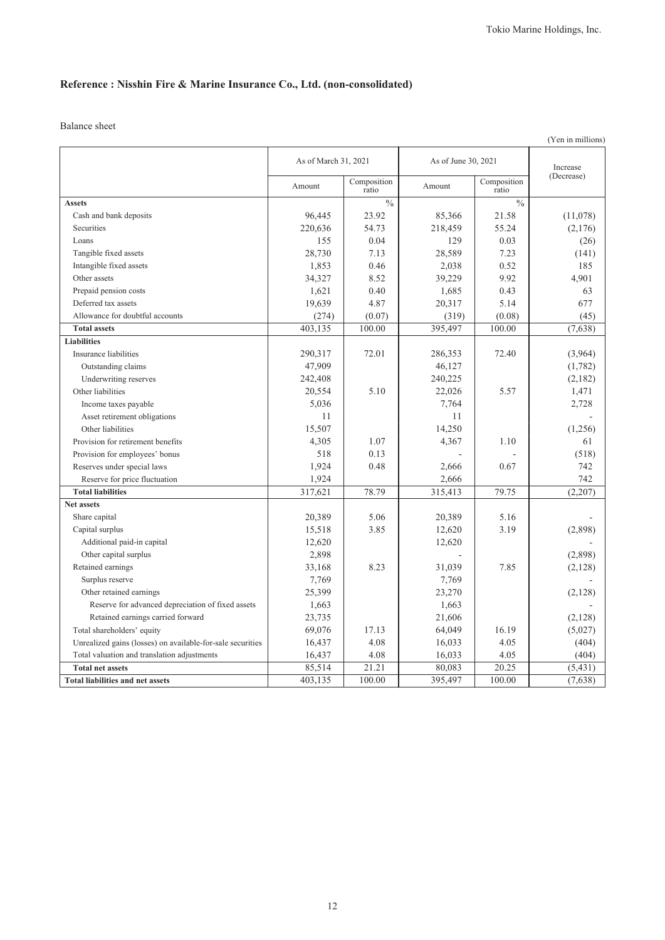## **Reference : Nisshin Fire & Marine Insurance Co., Ltd. (non-consolidated)**

|                                                            |                      |                      |                     |                      | (Yen in millions) |
|------------------------------------------------------------|----------------------|----------------------|---------------------|----------------------|-------------------|
|                                                            | As of March 31, 2021 |                      | As of June 30, 2021 |                      | Increase          |
|                                                            | Amount               | Composition<br>ratio | Amount              | Composition<br>ratio | (Decrease)        |
| <b>Assets</b>                                              |                      | $\frac{0}{0}$        |                     | $\frac{0}{0}$        |                   |
| Cash and bank deposits                                     | 96.445               | 23.92                | 85,366              | 21.58                | (11,078)          |
| Securities                                                 | 220,636              | 54.73                | 218,459             | 55.24                | (2,176)           |
| Loans                                                      | 155                  | 0.04                 | 129                 | 0.03                 | (26)              |
| Tangible fixed assets                                      | 28.730               | 7.13                 | 28,589              | 7.23                 | (141)             |
| Intangible fixed assets                                    | 1,853                | 0.46                 | 2,038               | 0.52                 | 185               |
| Other assets                                               | 34,327               | 8.52                 | 39,229              | 9.92                 | 4,901             |
| Prepaid pension costs                                      | 1,621                | 0.40                 | 1,685               | 0.43                 | 63                |
| Deferred tax assets                                        | 19,639               | 4.87                 | 20,317              | 5.14                 | 677               |
| Allowance for doubtful accounts                            | (274)                | (0.07)               | (319)               | (0.08)               | (45)              |
| <b>Total assets</b>                                        | 403,135              | 100.00               | 395,497             | 100.00               | (7,638)           |
| <b>Liabilities</b>                                         |                      |                      |                     |                      |                   |
| Insurance liabilities                                      | 290,317              | 72.01                | 286,353             | 72.40                | (3,964)           |
| Outstanding claims                                         | 47,909               |                      | 46,127              |                      | (1,782)           |
| Underwriting reserves                                      | 242,408              |                      | 240,225             |                      | (2,182)           |
| Other liabilities                                          | 20,554               | 5.10                 | 22,026              | 5.57                 | 1,471             |
| Income taxes payable                                       | 5,036                |                      | 7,764               |                      | 2,728             |
| Asset retirement obligations                               | 11                   |                      | 11                  |                      |                   |
| Other liabilities                                          | 15,507               |                      | 14,250              |                      | (1,256)           |
| Provision for retirement benefits                          | 4,305                | 1.07                 | 4,367               | 1.10                 | 61                |
| Provision for employees' bonus                             | 518                  | 0.13                 |                     |                      | (518)             |
| Reserves under special laws                                | 1,924                | 0.48                 | 2,666               | 0.67                 | 742               |
| Reserve for price fluctuation                              | 1,924                |                      | 2,666               |                      | 742               |
| <b>Total liabilities</b>                                   | 317,621              | 78.79                | 315,413             | 79.75                | (2,207)           |
| <b>Net assets</b>                                          |                      |                      |                     |                      |                   |
| Share capital                                              | 20,389               | 5.06                 | 20,389              | 5.16                 |                   |
| Capital surplus                                            | 15,518               | 3.85                 | 12,620              | 3.19                 | (2,898)           |
| Additional paid-in capital                                 | 12,620               |                      | 12,620              |                      |                   |
| Other capital surplus                                      | 2,898                |                      |                     |                      | (2,898)           |
| Retained earnings                                          | 33,168               | 8.23                 | 31,039              | 7.85                 | (2,128)           |
| Surplus reserve                                            | 7,769                |                      | 7,769               |                      |                   |
| Other retained earnings                                    | 25,399               |                      | 23,270              |                      | (2,128)           |
| Reserve for advanced depreciation of fixed assets          | 1,663                |                      | 1,663               |                      |                   |
| Retained earnings carried forward                          | 23,735               |                      | 21,606              |                      | (2,128)           |
| Total shareholders' equity                                 | 69,076               | 17.13                | 64,049              | 16.19                | (5,027)           |
| Unrealized gains (losses) on available-for-sale securities | 16,437               | 4.08                 | 16,033              | 4.05                 | (404)             |
| Total valuation and translation adjustments                | 16,437               | 4.08                 | 16,033              | 4.05                 | (404)             |
| <b>Total net assets</b>                                    | 85,514               | 21.21                | 80,083              | 20.25                | (5, 431)          |
| <b>Total liabilities and net assets</b>                    | 403,135              | 100.00               | 395,497             | 100.00               | (7,638)           |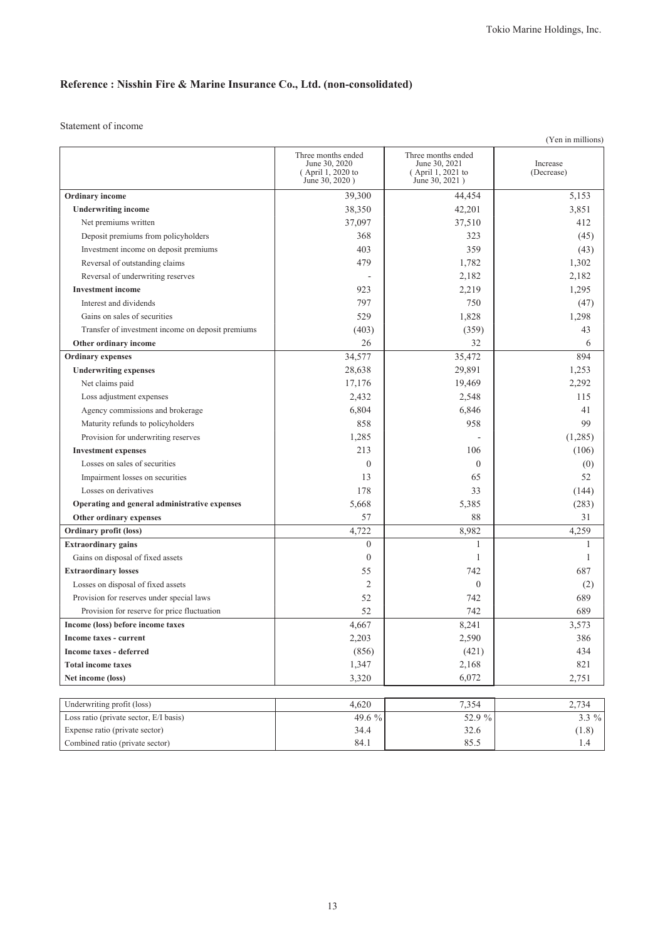## **Reference : Nisshin Fire & Marine Insurance Co., Ltd. (non-consolidated)**

Statement of income

|                                                   |                                                                            |                                                                            | (Yen in millions)      |
|---------------------------------------------------|----------------------------------------------------------------------------|----------------------------------------------------------------------------|------------------------|
|                                                   | Three months ended<br>June 30, 2020<br>(April 1, 2020 to<br>June 30, 2020) | Three months ended<br>June 30, 2021<br>(April 1, 2021 to<br>June 30, 2021) | Increase<br>(Decrease) |
| Ordinary income                                   | 39,300                                                                     | 44,454                                                                     | 5,153                  |
| <b>Underwriting income</b>                        | 38,350                                                                     | 42,201                                                                     | 3,851                  |
| Net premiums written                              | 37,097                                                                     | 37,510                                                                     | 412                    |
| Deposit premiums from policyholders               | 368                                                                        | 323                                                                        | (45)                   |
| Investment income on deposit premiums             | 403                                                                        | 359                                                                        | (43)                   |
| Reversal of outstanding claims                    | 479                                                                        | 1,782                                                                      | 1,302                  |
| Reversal of underwriting reserves                 |                                                                            | 2,182                                                                      | 2,182                  |
| <b>Investment</b> income                          | 923                                                                        | 2,219                                                                      | 1,295                  |
| Interest and dividends                            | 797                                                                        | 750                                                                        | (47)                   |
| Gains on sales of securities                      | 529                                                                        | 1,828                                                                      | 1,298                  |
| Transfer of investment income on deposit premiums | (403)                                                                      | (359)                                                                      | 43                     |
| Other ordinary income                             | 26                                                                         | 32                                                                         | 6                      |
| <b>Ordinary</b> expenses                          | 34,577                                                                     | 35,472                                                                     | 894                    |
| <b>Underwriting expenses</b>                      | 28,638                                                                     | 29,891                                                                     | 1,253                  |
| Net claims paid                                   | 17,176                                                                     | 19,469                                                                     | 2,292                  |
| Loss adjustment expenses                          | 2,432                                                                      | 2,548                                                                      | 115                    |
| Agency commissions and brokerage                  | 6,804                                                                      | 6,846                                                                      | 41                     |
| Maturity refunds to policyholders                 | 858                                                                        | 958                                                                        | 99                     |
| Provision for underwriting reserves               | 1,285                                                                      |                                                                            | (1,285)                |
| <b>Investment expenses</b>                        | 213                                                                        | 106                                                                        | (106)                  |
| Losses on sales of securities                     | $\theta$                                                                   | $\mathbf{0}$                                                               | (0)                    |
| Impairment losses on securities                   | 13                                                                         | 65                                                                         | 52                     |
| Losses on derivatives                             | 178                                                                        | 33                                                                         | (144)                  |
| Operating and general administrative expenses     | 5,668                                                                      | 5,385                                                                      | (283)                  |
| Other ordinary expenses                           | 57                                                                         | 88                                                                         | 31                     |
| Ordinary profit (loss)                            | 4,722                                                                      | 8,982                                                                      | 4,259                  |
| <b>Extraordinary gains</b>                        | $\overline{0}$                                                             | 1                                                                          | 1                      |
| Gains on disposal of fixed assets                 | $\overline{0}$                                                             | 1                                                                          | 1                      |
| <b>Extraordinary losses</b>                       | 55                                                                         | 742                                                                        | 687                    |
| Losses on disposal of fixed assets                | 2                                                                          | $\mathbf{0}$                                                               | (2)                    |
| Provision for reserves under special laws         | 52                                                                         | 742                                                                        | 689                    |
| Provision for reserve for price fluctuation       | 52                                                                         | 742                                                                        | 689                    |
| Income (loss) before income taxes                 | 4,667                                                                      | 8,241                                                                      | 3,573                  |
| Income taxes - current                            | 2,203                                                                      | 2,590                                                                      | 386                    |
| Income taxes - deferred                           | (856)                                                                      | (421)                                                                      | 434                    |
| <b>Total income taxes</b>                         | 1,347                                                                      | 2,168                                                                      | 821                    |
| Net income (loss)                                 | 3,320                                                                      | 6,072                                                                      | 2,751                  |
|                                                   |                                                                            |                                                                            |                        |
| Underwriting profit (loss)                        | 4,620                                                                      | 7,354                                                                      | 2,734                  |
| Loss ratio (private sector, E/I basis)            | 49.6 %                                                                     | 52.9 %                                                                     | 3.3 %                  |
| Expense ratio (private sector)                    | 34.4                                                                       | 32.6                                                                       | (1.8)                  |
| Combined ratio (private sector)                   | 84.1                                                                       | 85.5                                                                       | 1.4                    |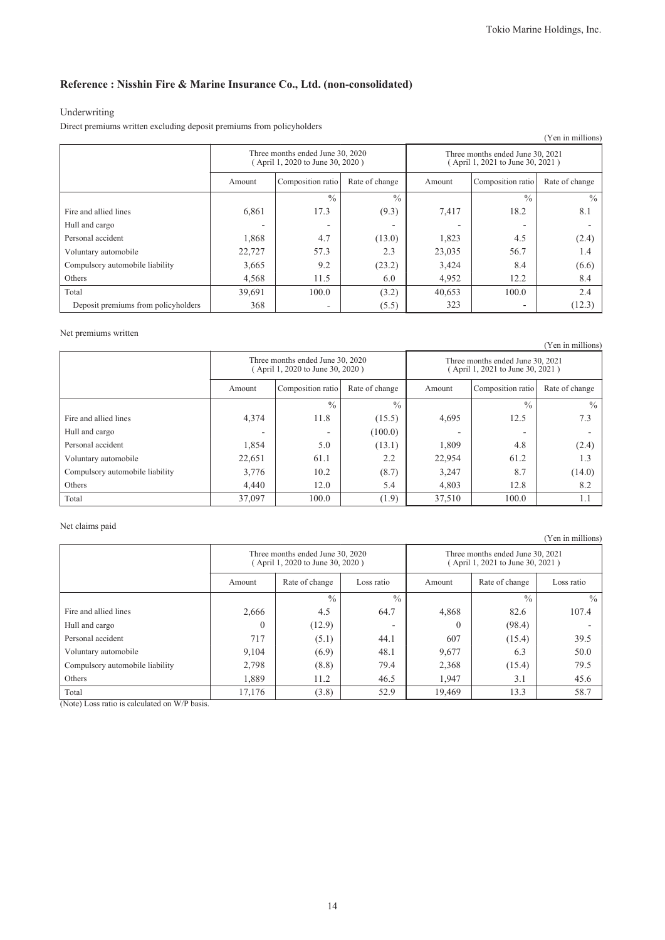### **Reference : Nisshin Fire & Marine Insurance Co., Ltd. (non-consolidated)**

### Underwriting

Direct premiums written excluding deposit premiums from policyholders

|                                     |                                                                      |               |               |                                                                      |                   | (Yen in millions) |
|-------------------------------------|----------------------------------------------------------------------|---------------|---------------|----------------------------------------------------------------------|-------------------|-------------------|
|                                     | Three months ended June 30, 2020<br>(April 1, 2020 to June 30, 2020) |               |               | Three months ended June 30, 2021<br>(April 1, 2021 to June 30, 2021) |                   |                   |
|                                     | Composition ratio<br>Rate of change<br>Amount                        |               |               | Amount                                                               | Composition ratio | Rate of change    |
|                                     |                                                                      | $\frac{0}{0}$ | $\frac{0}{0}$ |                                                                      | $\frac{0}{0}$     | $\frac{0}{0}$     |
| Fire and allied lines               | 6,861                                                                | 17.3          | (9.3)         | 7,417                                                                | 18.2              | 8.1               |
| Hull and cargo                      |                                                                      |               | -             |                                                                      | -                 |                   |
| Personal accident                   | 1,868                                                                | 4.7           | (13.0)        | 1,823                                                                | 4.5               | (2.4)             |
| Voluntary automobile                | 22,727                                                               | 57.3          | 2.3           | 23,035                                                               | 56.7              | 1.4               |
| Compulsory automobile liability     | 3,665                                                                | 9.2           | (23.2)        | 3,424                                                                | 8.4               | (6.6)             |
| Others                              | 4,568                                                                | 11.5          | 6.0           | 4,952                                                                | 12.2              | 8.4               |
| Total                               | 39,691                                                               | 100.0         | (3.2)         | 40,653                                                               | 100.0             | 2.4               |
| Deposit premiums from policyholders | 368                                                                  |               | (5.5)         | 323                                                                  | ٠                 | (12.3)            |

#### Net premiums written

|                                 |                                                                      |               |               |                                                                      |                   | (Yen in millions) |
|---------------------------------|----------------------------------------------------------------------|---------------|---------------|----------------------------------------------------------------------|-------------------|-------------------|
|                                 | Three months ended June 30, 2020<br>(April 1, 2020 to June 30, 2020) |               |               | Three months ended June 30, 2021<br>(April 1, 2021 to June 30, 2021) |                   |                   |
|                                 | Composition ratio<br>Rate of change<br>Amount                        |               |               | Amount                                                               | Composition ratio | Rate of change    |
|                                 |                                                                      | $\frac{0}{0}$ | $\frac{0}{0}$ |                                                                      | $\frac{0}{0}$     | $\frac{0}{0}$     |
| Fire and allied lines           | 4,374                                                                | 11.8          | (15.5)        | 4,695                                                                | 12.5              | 7.3               |
| Hull and cargo                  |                                                                      |               | (100.0)       |                                                                      |                   |                   |
| Personal accident               | 1,854                                                                | 5.0           | (13.1)        | 1,809                                                                | 4.8               | (2.4)             |
| Voluntary automobile            | 22,651                                                               | 61.1          | 2.2           | 22,954                                                               | 61.2              | 1.3               |
| Compulsory automobile liability | 3,776                                                                | 10.2          | (8.7)         | 3,247                                                                | 8.7               | (14.0)            |
| Others                          | 4.440                                                                | 12.0          | 5.4           | 4,803                                                                | 12.8              | 8.2               |
| Total                           | 37,097                                                               | 100.0         | (1.9)         | 37,510                                                               | 100.0             | 1.1               |

#### Net claims paid

|                                 |                                                                     |               |               |                                                                      |                | (Yen in millions) |
|---------------------------------|---------------------------------------------------------------------|---------------|---------------|----------------------------------------------------------------------|----------------|-------------------|
|                                 | Three months ended June 30, 2020<br>April 1, 2020 to June 30, 2020) |               |               | Three months ended June 30, 2021<br>(April 1, 2021 to June 30, 2021) |                |                   |
|                                 | Rate of change<br>Loss ratio<br>Amount                              |               |               | Amount                                                               | Rate of change | Loss ratio        |
|                                 |                                                                     | $\frac{0}{0}$ | $\frac{0}{0}$ |                                                                      | $\frac{0}{0}$  | $\frac{0}{0}$     |
| Fire and allied lines           | 2,666                                                               | 4.5           | 64.7          | 4,868                                                                | 82.6           | 107.4             |
| Hull and cargo                  | $\left($                                                            | (12.9)        | -             | $\theta$                                                             | (98.4)         |                   |
| Personal accident               | 717                                                                 | (5.1)         | 44.1          | 607                                                                  | (15.4)         | 39.5              |
| Voluntary automobile            | 9,104                                                               | (6.9)         | 48.1          | 9,677                                                                | 6.3            | 50.0              |
| Compulsory automobile liability | 2,798                                                               | (8.8)         | 79.4          | 2,368                                                                | (15.4)         | 79.5              |
| Others                          | 1,889                                                               | 11.2          | 46.5          | 1,947                                                                | 3.1            | 45.6              |
| Total                           | 17,176                                                              | (3.8)         | 52.9          | 19,469                                                               | 13.3           | 58.7              |

(Note) Loss ratio is calculated on W/P basis.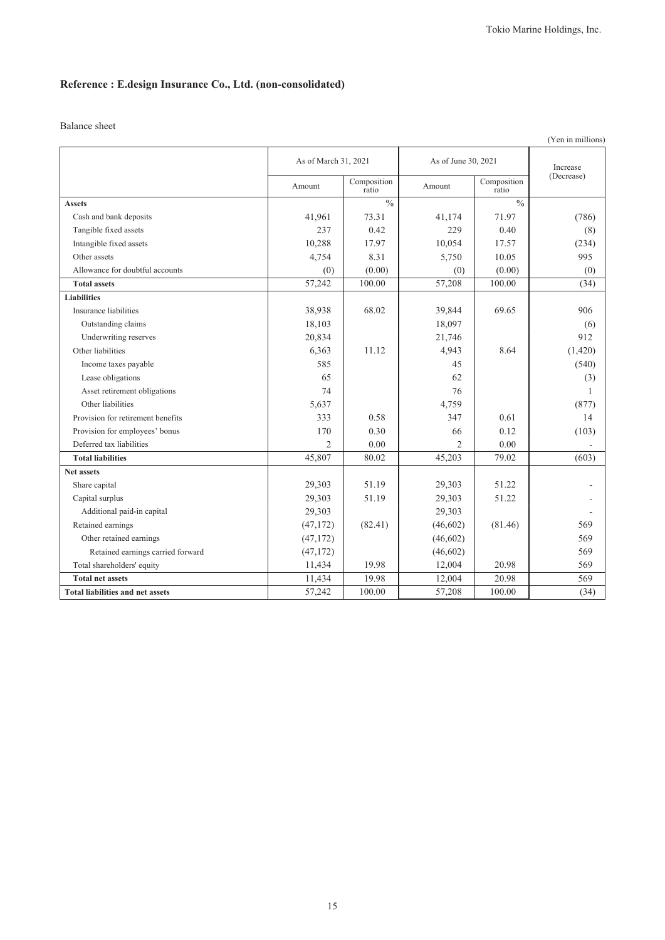## **Reference : E.design Insurance Co., Ltd. (non-consolidated)**

|                                         |                      |                      |                     |                      | (Yen in millions) |
|-----------------------------------------|----------------------|----------------------|---------------------|----------------------|-------------------|
|                                         | As of March 31, 2021 |                      | As of June 30, 2021 |                      | Increase          |
|                                         | Amount               | Composition<br>ratio | Amount              | Composition<br>ratio | (Decrease)        |
| <b>Assets</b>                           |                      | $\frac{0}{0}$        |                     | $\frac{0}{0}$        |                   |
| Cash and bank deposits                  | 41,961               | 73.31                | 41,174              | 71.97                | (786)             |
| Tangible fixed assets                   | 237                  | 0.42                 | 229                 | 0.40                 | (8)               |
| Intangible fixed assets                 | 10,288               | 17.97                | 10,054              | 17.57                | (234)             |
| Other assets                            | 4,754                | 8.31                 | 5,750               | 10.05                | 995               |
| Allowance for doubtful accounts         | (0)                  | (0.00)               | (0)                 | (0.00)               | (0)               |
| <b>Total assets</b>                     | 57,242               | 100.00               | 57,208              | 100.00               | (34)              |
| <b>Liabilities</b>                      |                      |                      |                     |                      |                   |
| Insurance liabilities                   | 38,938               | 68.02                | 39,844              | 69.65                | 906               |
| Outstanding claims                      | 18,103               |                      | 18,097              |                      | (6)               |
| Underwriting reserves                   | 20,834               |                      | 21,746              |                      | 912               |
| Other liabilities                       | 6,363                | 11.12                | 4,943               | 8.64                 | (1,420)           |
| Income taxes payable                    | 585                  |                      | 45                  |                      | (540)             |
| Lease obligations                       | 65                   |                      | 62                  |                      | (3)               |
| Asset retirement obligations            | 74                   |                      | 76                  |                      | 1                 |
| Other liabilities                       | 5,637                |                      | 4,759               |                      | (877)             |
| Provision for retirement benefits       | 333                  | 0.58                 | 347                 | 0.61                 | 14                |
| Provision for employees' bonus          | 170                  | 0.30                 | 66                  | 0.12                 | (103)             |
| Deferred tax liabilities                | $\overline{2}$       | 0.00                 | $\overline{2}$      | 0.00                 |                   |
| <b>Total liabilities</b>                | 45,807               | 80.02                | 45,203              | 79.02                | (603)             |
| <b>Net assets</b>                       |                      |                      |                     |                      |                   |
| Share capital                           | 29,303               | 51.19                | 29,303              | 51.22                |                   |
| Capital surplus                         | 29,303               | 51.19                | 29,303              | 51.22                |                   |
| Additional paid-in capital              | 29,303               |                      | 29,303              |                      |                   |
| Retained earnings                       | (47, 172)            | (82.41)              | (46, 602)           | (81.46)              | 569               |
| Other retained earnings                 | (47, 172)            |                      | (46,602)            |                      | 569               |
| Retained earnings carried forward       | (47, 172)            |                      | (46,602)            |                      | 569               |
| Total shareholders' equity              | 11,434               | 19.98                | 12,004              | 20.98                | 569               |
| <b>Total net assets</b>                 | 11,434               | 19.98                | 12,004              | 20.98                | 569               |
| <b>Total liabilities and net assets</b> | 57,242               | 100.00               | 57,208              | 100.00               | (34)              |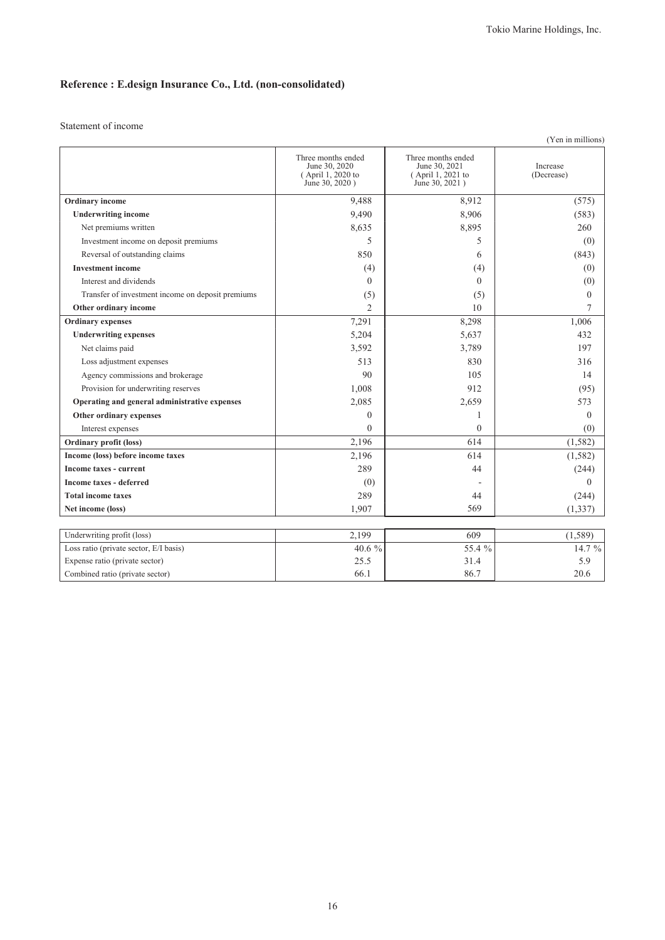## **Reference : E.design Insurance Co., Ltd. (non-consolidated)**

Statement of income

|                                                   |                                                                            |                                                                            | (Yen in millions)             |
|---------------------------------------------------|----------------------------------------------------------------------------|----------------------------------------------------------------------------|-------------------------------|
|                                                   | Three months ended<br>June 30, 2020<br>(April 1, 2020 to<br>June 30, 2020) | Three months ended<br>June 30, 2021<br>(April 1, 2021 to<br>June 30, 2021) | <b>Increase</b><br>(Decrease) |
| Ordinary income                                   | 9,488                                                                      | 8,912                                                                      | (575)                         |
| <b>Underwriting income</b>                        | 9,490                                                                      | 8,906                                                                      | (583)                         |
| Net premiums written                              | 8,635                                                                      | 8,895                                                                      | 260                           |
| Investment income on deposit premiums             | 5                                                                          | 5                                                                          | (0)                           |
| Reversal of outstanding claims                    | 850                                                                        | 6                                                                          | (843)                         |
| <b>Investment income</b>                          | (4)                                                                        | (4)                                                                        | (0)                           |
| Interest and dividends                            | $\theta$                                                                   | $\Omega$                                                                   | (0)                           |
| Transfer of investment income on deposit premiums | (5)                                                                        | (5)                                                                        | $\theta$                      |
| Other ordinary income                             | $\overline{2}$                                                             | 10                                                                         | 7                             |
| <b>Ordinary</b> expenses                          | 7,291                                                                      | 8,298                                                                      | 1,006                         |
| <b>Underwriting expenses</b>                      | 5,204                                                                      | 5,637                                                                      | 432                           |
| Net claims paid                                   | 3,592                                                                      | 3,789                                                                      | 197                           |
| Loss adjustment expenses                          | 513                                                                        | 830                                                                        | 316                           |
| Agency commissions and brokerage                  | 90                                                                         | 105                                                                        | 14                            |
| Provision for underwriting reserves               | 1,008                                                                      | 912                                                                        | (95)                          |
| Operating and general administrative expenses     | 2,085                                                                      | 2,659                                                                      | 573                           |
| Other ordinary expenses                           | $\mathbf{0}$                                                               | 1                                                                          | $\theta$                      |
| Interest expenses                                 | $\theta$                                                                   | $\theta$                                                                   | (0)                           |
| <b>Ordinary profit (loss)</b>                     | 2,196                                                                      | 614                                                                        | (1, 582)                      |
| Income (loss) before income taxes                 | 2,196                                                                      | 614                                                                        | (1, 582)                      |
| Income taxes - current                            | 289                                                                        | 44                                                                         | (244)                         |
| <b>Income taxes - deferred</b>                    | (0)                                                                        |                                                                            | $\theta$                      |
| <b>Total income taxes</b>                         | 289                                                                        | 44                                                                         | (244)                         |
| Net income (loss)                                 | 1,907                                                                      | 569                                                                        | (1, 337)                      |
|                                                   |                                                                            |                                                                            |                               |
| Underwriting profit (loss)                        | 2,199                                                                      | 609                                                                        | (1, 589)                      |
| Loss ratio (private sector, E/I basis)            | 40.6 %                                                                     | 55.4 %                                                                     | 14.7 %                        |
| Expense ratio (private sector)                    | 25.5                                                                       | 31.4                                                                       | 5.9                           |

Combined ratio (private sector)  $66.1$   $86.7$   $20.6$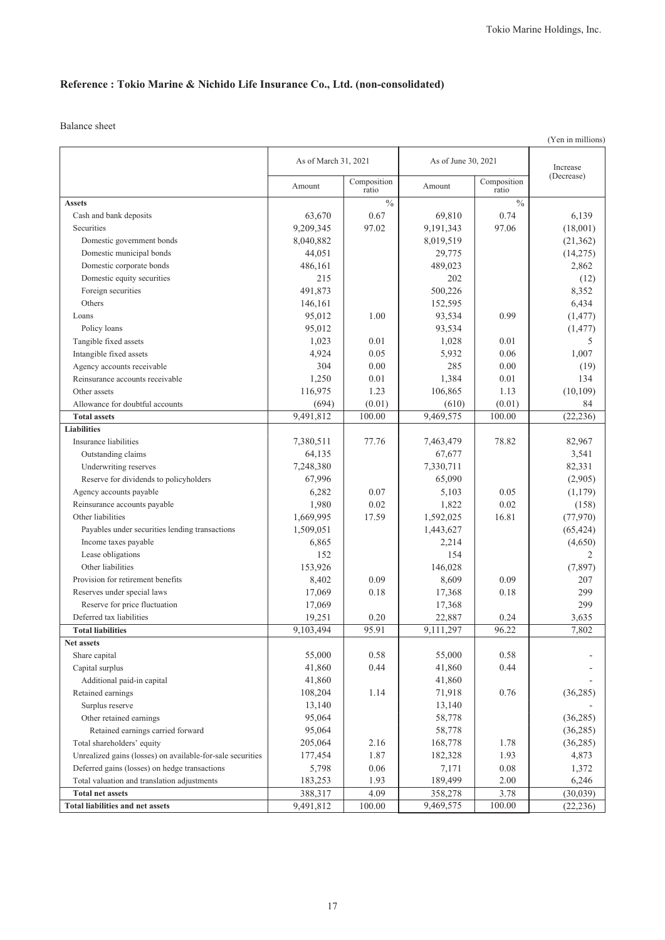## **Reference : Tokio Marine & Nichido Life Insurance Co., Ltd. (non-consolidated)**

| As of March 31, 2021<br>As of June 30, 2021<br>Increase<br>(Decrease)<br>Composition<br>Composition<br>Amount<br>Amount<br>ratio<br>ratio<br>$\frac{0}{0}$<br>$\frac{0}{0}$<br><b>Assets</b><br>63,670<br>0.67<br>69,810<br>0.74<br>6,139<br>Cash and bank deposits<br>Securities<br>9,209,345<br>97.02<br>9,191,343<br>97.06<br>(18,001)<br>8,040,882<br>8,019,519<br>Domestic government bonds<br>(21, 362)<br>Domestic municipal bonds<br>44,051<br>29,775<br>(14,275)<br>486,161<br>489,023<br>Domestic corporate bonds<br>2,862<br>Domestic equity securities<br>215<br>202<br>(12)<br>491,873<br>500,226<br>8,352<br>Foreign securities<br>Others<br>152,595<br>6,434<br>146,161<br>95,012<br>0.99<br>1.00<br>93,534<br>(1, 477)<br>Loans<br>95,012<br>93,534<br>Policy loans<br>(1, 477)<br>Tangible fixed assets<br>1,023<br>0.01<br>1,028<br>0.01<br>5<br>Intangible fixed assets<br>4,924<br>0.05<br>5,932<br>0.06<br>1,007<br>304<br>0.00<br>285<br>0.00<br>Agency accounts receivable<br>(19)<br>Reinsurance accounts receivable<br>1,250<br>0.01<br>1,384<br>0.01<br>134<br>116,975<br>1.23<br>106,865<br>1.13<br>(10, 109)<br>Other assets<br>(694)<br>(0.01)<br>Allowance for doubtful accounts<br>(0.01)<br>(610)<br>84<br>9,491,812<br>9,469,575<br>(22, 236)<br>100.00<br>100.00<br><b>Total assets</b><br><b>Liabilities</b><br>77.76<br>78.82<br>Insurance liabilities<br>7,380,511<br>7,463,479<br>82,967<br>64,135<br>Outstanding claims<br>67,677<br>3,541<br>7,248,380<br>Underwriting reserves<br>7,330,711<br>82,331<br>Reserve for dividends to policyholders<br>67,996<br>65,090<br>(2,905)<br>6,282<br>0.07<br>5,103<br>(1, 179)<br>Agency accounts payable<br>0.05<br>1,980<br>Reinsurance accounts payable<br>0.02<br>1,822<br>0.02<br>(158)<br>1,669,995<br>1,592,025<br>16.81<br>(77, 970)<br>Other liabilities<br>17.59<br>1,509,051<br>1,443,627<br>Payables under securities lending transactions<br>(65, 424)<br>Income taxes payable<br>6,865<br>2,214<br>(4,650)<br>Lease obligations<br>152<br>154<br>2<br>Other liabilities<br>153,926<br>146,028<br>(7, 897)<br>Provision for retirement benefits<br>8,402<br>0.09<br>0.09<br>207<br>8,609<br>17,069<br>0.18<br>17,368<br>0.18<br>299<br>Reserves under special laws<br>17,069<br>17,368<br>299<br>Reserve for price fluctuation<br>19,251<br>22,887<br>0.24<br>Deferred tax liabilities<br>0.20<br>3,635<br>95.91<br>9,103,494<br>9,111,297<br>96.22<br>7,802<br><b>Total liabilities</b><br>Net assets<br>Share capital<br>55,000<br>0.58<br>55,000<br>0.58<br>0.44<br>0.44<br>Capital surplus<br>41,860<br>41,860<br>Additional paid-in capital<br>41,860<br>41,860<br>Retained earnings<br>108,204<br>1.14<br>71,918<br>0.76<br>(36, 285)<br>Surplus reserve<br>13,140<br>13,140<br>Other retained earnings<br>95,064<br>58,778<br>(36, 285)<br>Retained earnings carried forward<br>95,064<br>58,778<br>(36, 285)<br>Total shareholders' equity<br>205,064<br>2.16<br>168,778<br>1.78<br>(36, 285)<br>Unrealized gains (losses) on available-for-sale securities<br>1.87<br>177,454<br>182,328<br>1.93<br>4,873<br>Deferred gains (losses) on hedge transactions<br>5,798<br>0.06<br>7,171<br>0.08<br>1,372<br>Total valuation and translation adjustments<br>1.93<br>2.00<br>183,253<br>189,499<br>6,246<br>4.09<br>388,317<br>358,278<br>3.78<br>(30,039)<br><b>Total net assets</b><br>9,491,812<br>(22, 236)<br>100.00<br>9,469,575<br>100.00<br>Total liabilities and net assets |  |  |  |  | (Yen in millions) |
|--------------------------------------------------------------------------------------------------------------------------------------------------------------------------------------------------------------------------------------------------------------------------------------------------------------------------------------------------------------------------------------------------------------------------------------------------------------------------------------------------------------------------------------------------------------------------------------------------------------------------------------------------------------------------------------------------------------------------------------------------------------------------------------------------------------------------------------------------------------------------------------------------------------------------------------------------------------------------------------------------------------------------------------------------------------------------------------------------------------------------------------------------------------------------------------------------------------------------------------------------------------------------------------------------------------------------------------------------------------------------------------------------------------------------------------------------------------------------------------------------------------------------------------------------------------------------------------------------------------------------------------------------------------------------------------------------------------------------------------------------------------------------------------------------------------------------------------------------------------------------------------------------------------------------------------------------------------------------------------------------------------------------------------------------------------------------------------------------------------------------------------------------------------------------------------------------------------------------------------------------------------------------------------------------------------------------------------------------------------------------------------------------------------------------------------------------------------------------------------------------------------------------------------------------------------------------------------------------------------------------------------------------------------------------------------------------------------------------------------------------------------------------------------------------------------------------------------------------------------------------------------------------------------------------------------------------------------------------------------------------------------------------------------------------------------------------------------------------------------------------------------------------------------------------------------------------------------------------------------------------------------------------------------------------------------------------------------------------------------------------------------------------------------------------------------------------------------------------------------|--|--|--|--|-------------------|
|                                                                                                                                                                                                                                                                                                                                                                                                                                                                                                                                                                                                                                                                                                                                                                                                                                                                                                                                                                                                                                                                                                                                                                                                                                                                                                                                                                                                                                                                                                                                                                                                                                                                                                                                                                                                                                                                                                                                                                                                                                                                                                                                                                                                                                                                                                                                                                                                                                                                                                                                                                                                                                                                                                                                                                                                                                                                                                                                                                                                                                                                                                                                                                                                                                                                                                                                                                                                                                                                                      |  |  |  |  |                   |
|                                                                                                                                                                                                                                                                                                                                                                                                                                                                                                                                                                                                                                                                                                                                                                                                                                                                                                                                                                                                                                                                                                                                                                                                                                                                                                                                                                                                                                                                                                                                                                                                                                                                                                                                                                                                                                                                                                                                                                                                                                                                                                                                                                                                                                                                                                                                                                                                                                                                                                                                                                                                                                                                                                                                                                                                                                                                                                                                                                                                                                                                                                                                                                                                                                                                                                                                                                                                                                                                                      |  |  |  |  |                   |
|                                                                                                                                                                                                                                                                                                                                                                                                                                                                                                                                                                                                                                                                                                                                                                                                                                                                                                                                                                                                                                                                                                                                                                                                                                                                                                                                                                                                                                                                                                                                                                                                                                                                                                                                                                                                                                                                                                                                                                                                                                                                                                                                                                                                                                                                                                                                                                                                                                                                                                                                                                                                                                                                                                                                                                                                                                                                                                                                                                                                                                                                                                                                                                                                                                                                                                                                                                                                                                                                                      |  |  |  |  |                   |
|                                                                                                                                                                                                                                                                                                                                                                                                                                                                                                                                                                                                                                                                                                                                                                                                                                                                                                                                                                                                                                                                                                                                                                                                                                                                                                                                                                                                                                                                                                                                                                                                                                                                                                                                                                                                                                                                                                                                                                                                                                                                                                                                                                                                                                                                                                                                                                                                                                                                                                                                                                                                                                                                                                                                                                                                                                                                                                                                                                                                                                                                                                                                                                                                                                                                                                                                                                                                                                                                                      |  |  |  |  |                   |
|                                                                                                                                                                                                                                                                                                                                                                                                                                                                                                                                                                                                                                                                                                                                                                                                                                                                                                                                                                                                                                                                                                                                                                                                                                                                                                                                                                                                                                                                                                                                                                                                                                                                                                                                                                                                                                                                                                                                                                                                                                                                                                                                                                                                                                                                                                                                                                                                                                                                                                                                                                                                                                                                                                                                                                                                                                                                                                                                                                                                                                                                                                                                                                                                                                                                                                                                                                                                                                                                                      |  |  |  |  |                   |
|                                                                                                                                                                                                                                                                                                                                                                                                                                                                                                                                                                                                                                                                                                                                                                                                                                                                                                                                                                                                                                                                                                                                                                                                                                                                                                                                                                                                                                                                                                                                                                                                                                                                                                                                                                                                                                                                                                                                                                                                                                                                                                                                                                                                                                                                                                                                                                                                                                                                                                                                                                                                                                                                                                                                                                                                                                                                                                                                                                                                                                                                                                                                                                                                                                                                                                                                                                                                                                                                                      |  |  |  |  |                   |
|                                                                                                                                                                                                                                                                                                                                                                                                                                                                                                                                                                                                                                                                                                                                                                                                                                                                                                                                                                                                                                                                                                                                                                                                                                                                                                                                                                                                                                                                                                                                                                                                                                                                                                                                                                                                                                                                                                                                                                                                                                                                                                                                                                                                                                                                                                                                                                                                                                                                                                                                                                                                                                                                                                                                                                                                                                                                                                                                                                                                                                                                                                                                                                                                                                                                                                                                                                                                                                                                                      |  |  |  |  |                   |
|                                                                                                                                                                                                                                                                                                                                                                                                                                                                                                                                                                                                                                                                                                                                                                                                                                                                                                                                                                                                                                                                                                                                                                                                                                                                                                                                                                                                                                                                                                                                                                                                                                                                                                                                                                                                                                                                                                                                                                                                                                                                                                                                                                                                                                                                                                                                                                                                                                                                                                                                                                                                                                                                                                                                                                                                                                                                                                                                                                                                                                                                                                                                                                                                                                                                                                                                                                                                                                                                                      |  |  |  |  |                   |
|                                                                                                                                                                                                                                                                                                                                                                                                                                                                                                                                                                                                                                                                                                                                                                                                                                                                                                                                                                                                                                                                                                                                                                                                                                                                                                                                                                                                                                                                                                                                                                                                                                                                                                                                                                                                                                                                                                                                                                                                                                                                                                                                                                                                                                                                                                                                                                                                                                                                                                                                                                                                                                                                                                                                                                                                                                                                                                                                                                                                                                                                                                                                                                                                                                                                                                                                                                                                                                                                                      |  |  |  |  |                   |
|                                                                                                                                                                                                                                                                                                                                                                                                                                                                                                                                                                                                                                                                                                                                                                                                                                                                                                                                                                                                                                                                                                                                                                                                                                                                                                                                                                                                                                                                                                                                                                                                                                                                                                                                                                                                                                                                                                                                                                                                                                                                                                                                                                                                                                                                                                                                                                                                                                                                                                                                                                                                                                                                                                                                                                                                                                                                                                                                                                                                                                                                                                                                                                                                                                                                                                                                                                                                                                                                                      |  |  |  |  |                   |
|                                                                                                                                                                                                                                                                                                                                                                                                                                                                                                                                                                                                                                                                                                                                                                                                                                                                                                                                                                                                                                                                                                                                                                                                                                                                                                                                                                                                                                                                                                                                                                                                                                                                                                                                                                                                                                                                                                                                                                                                                                                                                                                                                                                                                                                                                                                                                                                                                                                                                                                                                                                                                                                                                                                                                                                                                                                                                                                                                                                                                                                                                                                                                                                                                                                                                                                                                                                                                                                                                      |  |  |  |  |                   |
|                                                                                                                                                                                                                                                                                                                                                                                                                                                                                                                                                                                                                                                                                                                                                                                                                                                                                                                                                                                                                                                                                                                                                                                                                                                                                                                                                                                                                                                                                                                                                                                                                                                                                                                                                                                                                                                                                                                                                                                                                                                                                                                                                                                                                                                                                                                                                                                                                                                                                                                                                                                                                                                                                                                                                                                                                                                                                                                                                                                                                                                                                                                                                                                                                                                                                                                                                                                                                                                                                      |  |  |  |  |                   |
|                                                                                                                                                                                                                                                                                                                                                                                                                                                                                                                                                                                                                                                                                                                                                                                                                                                                                                                                                                                                                                                                                                                                                                                                                                                                                                                                                                                                                                                                                                                                                                                                                                                                                                                                                                                                                                                                                                                                                                                                                                                                                                                                                                                                                                                                                                                                                                                                                                                                                                                                                                                                                                                                                                                                                                                                                                                                                                                                                                                                                                                                                                                                                                                                                                                                                                                                                                                                                                                                                      |  |  |  |  |                   |
|                                                                                                                                                                                                                                                                                                                                                                                                                                                                                                                                                                                                                                                                                                                                                                                                                                                                                                                                                                                                                                                                                                                                                                                                                                                                                                                                                                                                                                                                                                                                                                                                                                                                                                                                                                                                                                                                                                                                                                                                                                                                                                                                                                                                                                                                                                                                                                                                                                                                                                                                                                                                                                                                                                                                                                                                                                                                                                                                                                                                                                                                                                                                                                                                                                                                                                                                                                                                                                                                                      |  |  |  |  |                   |
|                                                                                                                                                                                                                                                                                                                                                                                                                                                                                                                                                                                                                                                                                                                                                                                                                                                                                                                                                                                                                                                                                                                                                                                                                                                                                                                                                                                                                                                                                                                                                                                                                                                                                                                                                                                                                                                                                                                                                                                                                                                                                                                                                                                                                                                                                                                                                                                                                                                                                                                                                                                                                                                                                                                                                                                                                                                                                                                                                                                                                                                                                                                                                                                                                                                                                                                                                                                                                                                                                      |  |  |  |  |                   |
|                                                                                                                                                                                                                                                                                                                                                                                                                                                                                                                                                                                                                                                                                                                                                                                                                                                                                                                                                                                                                                                                                                                                                                                                                                                                                                                                                                                                                                                                                                                                                                                                                                                                                                                                                                                                                                                                                                                                                                                                                                                                                                                                                                                                                                                                                                                                                                                                                                                                                                                                                                                                                                                                                                                                                                                                                                                                                                                                                                                                                                                                                                                                                                                                                                                                                                                                                                                                                                                                                      |  |  |  |  |                   |
|                                                                                                                                                                                                                                                                                                                                                                                                                                                                                                                                                                                                                                                                                                                                                                                                                                                                                                                                                                                                                                                                                                                                                                                                                                                                                                                                                                                                                                                                                                                                                                                                                                                                                                                                                                                                                                                                                                                                                                                                                                                                                                                                                                                                                                                                                                                                                                                                                                                                                                                                                                                                                                                                                                                                                                                                                                                                                                                                                                                                                                                                                                                                                                                                                                                                                                                                                                                                                                                                                      |  |  |  |  |                   |
|                                                                                                                                                                                                                                                                                                                                                                                                                                                                                                                                                                                                                                                                                                                                                                                                                                                                                                                                                                                                                                                                                                                                                                                                                                                                                                                                                                                                                                                                                                                                                                                                                                                                                                                                                                                                                                                                                                                                                                                                                                                                                                                                                                                                                                                                                                                                                                                                                                                                                                                                                                                                                                                                                                                                                                                                                                                                                                                                                                                                                                                                                                                                                                                                                                                                                                                                                                                                                                                                                      |  |  |  |  |                   |
|                                                                                                                                                                                                                                                                                                                                                                                                                                                                                                                                                                                                                                                                                                                                                                                                                                                                                                                                                                                                                                                                                                                                                                                                                                                                                                                                                                                                                                                                                                                                                                                                                                                                                                                                                                                                                                                                                                                                                                                                                                                                                                                                                                                                                                                                                                                                                                                                                                                                                                                                                                                                                                                                                                                                                                                                                                                                                                                                                                                                                                                                                                                                                                                                                                                                                                                                                                                                                                                                                      |  |  |  |  |                   |
|                                                                                                                                                                                                                                                                                                                                                                                                                                                                                                                                                                                                                                                                                                                                                                                                                                                                                                                                                                                                                                                                                                                                                                                                                                                                                                                                                                                                                                                                                                                                                                                                                                                                                                                                                                                                                                                                                                                                                                                                                                                                                                                                                                                                                                                                                                                                                                                                                                                                                                                                                                                                                                                                                                                                                                                                                                                                                                                                                                                                                                                                                                                                                                                                                                                                                                                                                                                                                                                                                      |  |  |  |  |                   |
|                                                                                                                                                                                                                                                                                                                                                                                                                                                                                                                                                                                                                                                                                                                                                                                                                                                                                                                                                                                                                                                                                                                                                                                                                                                                                                                                                                                                                                                                                                                                                                                                                                                                                                                                                                                                                                                                                                                                                                                                                                                                                                                                                                                                                                                                                                                                                                                                                                                                                                                                                                                                                                                                                                                                                                                                                                                                                                                                                                                                                                                                                                                                                                                                                                                                                                                                                                                                                                                                                      |  |  |  |  |                   |
|                                                                                                                                                                                                                                                                                                                                                                                                                                                                                                                                                                                                                                                                                                                                                                                                                                                                                                                                                                                                                                                                                                                                                                                                                                                                                                                                                                                                                                                                                                                                                                                                                                                                                                                                                                                                                                                                                                                                                                                                                                                                                                                                                                                                                                                                                                                                                                                                                                                                                                                                                                                                                                                                                                                                                                                                                                                                                                                                                                                                                                                                                                                                                                                                                                                                                                                                                                                                                                                                                      |  |  |  |  |                   |
|                                                                                                                                                                                                                                                                                                                                                                                                                                                                                                                                                                                                                                                                                                                                                                                                                                                                                                                                                                                                                                                                                                                                                                                                                                                                                                                                                                                                                                                                                                                                                                                                                                                                                                                                                                                                                                                                                                                                                                                                                                                                                                                                                                                                                                                                                                                                                                                                                                                                                                                                                                                                                                                                                                                                                                                                                                                                                                                                                                                                                                                                                                                                                                                                                                                                                                                                                                                                                                                                                      |  |  |  |  |                   |
|                                                                                                                                                                                                                                                                                                                                                                                                                                                                                                                                                                                                                                                                                                                                                                                                                                                                                                                                                                                                                                                                                                                                                                                                                                                                                                                                                                                                                                                                                                                                                                                                                                                                                                                                                                                                                                                                                                                                                                                                                                                                                                                                                                                                                                                                                                                                                                                                                                                                                                                                                                                                                                                                                                                                                                                                                                                                                                                                                                                                                                                                                                                                                                                                                                                                                                                                                                                                                                                                                      |  |  |  |  |                   |
|                                                                                                                                                                                                                                                                                                                                                                                                                                                                                                                                                                                                                                                                                                                                                                                                                                                                                                                                                                                                                                                                                                                                                                                                                                                                                                                                                                                                                                                                                                                                                                                                                                                                                                                                                                                                                                                                                                                                                                                                                                                                                                                                                                                                                                                                                                                                                                                                                                                                                                                                                                                                                                                                                                                                                                                                                                                                                                                                                                                                                                                                                                                                                                                                                                                                                                                                                                                                                                                                                      |  |  |  |  |                   |
|                                                                                                                                                                                                                                                                                                                                                                                                                                                                                                                                                                                                                                                                                                                                                                                                                                                                                                                                                                                                                                                                                                                                                                                                                                                                                                                                                                                                                                                                                                                                                                                                                                                                                                                                                                                                                                                                                                                                                                                                                                                                                                                                                                                                                                                                                                                                                                                                                                                                                                                                                                                                                                                                                                                                                                                                                                                                                                                                                                                                                                                                                                                                                                                                                                                                                                                                                                                                                                                                                      |  |  |  |  |                   |
|                                                                                                                                                                                                                                                                                                                                                                                                                                                                                                                                                                                                                                                                                                                                                                                                                                                                                                                                                                                                                                                                                                                                                                                                                                                                                                                                                                                                                                                                                                                                                                                                                                                                                                                                                                                                                                                                                                                                                                                                                                                                                                                                                                                                                                                                                                                                                                                                                                                                                                                                                                                                                                                                                                                                                                                                                                                                                                                                                                                                                                                                                                                                                                                                                                                                                                                                                                                                                                                                                      |  |  |  |  |                   |
|                                                                                                                                                                                                                                                                                                                                                                                                                                                                                                                                                                                                                                                                                                                                                                                                                                                                                                                                                                                                                                                                                                                                                                                                                                                                                                                                                                                                                                                                                                                                                                                                                                                                                                                                                                                                                                                                                                                                                                                                                                                                                                                                                                                                                                                                                                                                                                                                                                                                                                                                                                                                                                                                                                                                                                                                                                                                                                                                                                                                                                                                                                                                                                                                                                                                                                                                                                                                                                                                                      |  |  |  |  |                   |
|                                                                                                                                                                                                                                                                                                                                                                                                                                                                                                                                                                                                                                                                                                                                                                                                                                                                                                                                                                                                                                                                                                                                                                                                                                                                                                                                                                                                                                                                                                                                                                                                                                                                                                                                                                                                                                                                                                                                                                                                                                                                                                                                                                                                                                                                                                                                                                                                                                                                                                                                                                                                                                                                                                                                                                                                                                                                                                                                                                                                                                                                                                                                                                                                                                                                                                                                                                                                                                                                                      |  |  |  |  |                   |
|                                                                                                                                                                                                                                                                                                                                                                                                                                                                                                                                                                                                                                                                                                                                                                                                                                                                                                                                                                                                                                                                                                                                                                                                                                                                                                                                                                                                                                                                                                                                                                                                                                                                                                                                                                                                                                                                                                                                                                                                                                                                                                                                                                                                                                                                                                                                                                                                                                                                                                                                                                                                                                                                                                                                                                                                                                                                                                                                                                                                                                                                                                                                                                                                                                                                                                                                                                                                                                                                                      |  |  |  |  |                   |
|                                                                                                                                                                                                                                                                                                                                                                                                                                                                                                                                                                                                                                                                                                                                                                                                                                                                                                                                                                                                                                                                                                                                                                                                                                                                                                                                                                                                                                                                                                                                                                                                                                                                                                                                                                                                                                                                                                                                                                                                                                                                                                                                                                                                                                                                                                                                                                                                                                                                                                                                                                                                                                                                                                                                                                                                                                                                                                                                                                                                                                                                                                                                                                                                                                                                                                                                                                                                                                                                                      |  |  |  |  |                   |
|                                                                                                                                                                                                                                                                                                                                                                                                                                                                                                                                                                                                                                                                                                                                                                                                                                                                                                                                                                                                                                                                                                                                                                                                                                                                                                                                                                                                                                                                                                                                                                                                                                                                                                                                                                                                                                                                                                                                                                                                                                                                                                                                                                                                                                                                                                                                                                                                                                                                                                                                                                                                                                                                                                                                                                                                                                                                                                                                                                                                                                                                                                                                                                                                                                                                                                                                                                                                                                                                                      |  |  |  |  |                   |
|                                                                                                                                                                                                                                                                                                                                                                                                                                                                                                                                                                                                                                                                                                                                                                                                                                                                                                                                                                                                                                                                                                                                                                                                                                                                                                                                                                                                                                                                                                                                                                                                                                                                                                                                                                                                                                                                                                                                                                                                                                                                                                                                                                                                                                                                                                                                                                                                                                                                                                                                                                                                                                                                                                                                                                                                                                                                                                                                                                                                                                                                                                                                                                                                                                                                                                                                                                                                                                                                                      |  |  |  |  |                   |
|                                                                                                                                                                                                                                                                                                                                                                                                                                                                                                                                                                                                                                                                                                                                                                                                                                                                                                                                                                                                                                                                                                                                                                                                                                                                                                                                                                                                                                                                                                                                                                                                                                                                                                                                                                                                                                                                                                                                                                                                                                                                                                                                                                                                                                                                                                                                                                                                                                                                                                                                                                                                                                                                                                                                                                                                                                                                                                                                                                                                                                                                                                                                                                                                                                                                                                                                                                                                                                                                                      |  |  |  |  |                   |
|                                                                                                                                                                                                                                                                                                                                                                                                                                                                                                                                                                                                                                                                                                                                                                                                                                                                                                                                                                                                                                                                                                                                                                                                                                                                                                                                                                                                                                                                                                                                                                                                                                                                                                                                                                                                                                                                                                                                                                                                                                                                                                                                                                                                                                                                                                                                                                                                                                                                                                                                                                                                                                                                                                                                                                                                                                                                                                                                                                                                                                                                                                                                                                                                                                                                                                                                                                                                                                                                                      |  |  |  |  |                   |
|                                                                                                                                                                                                                                                                                                                                                                                                                                                                                                                                                                                                                                                                                                                                                                                                                                                                                                                                                                                                                                                                                                                                                                                                                                                                                                                                                                                                                                                                                                                                                                                                                                                                                                                                                                                                                                                                                                                                                                                                                                                                                                                                                                                                                                                                                                                                                                                                                                                                                                                                                                                                                                                                                                                                                                                                                                                                                                                                                                                                                                                                                                                                                                                                                                                                                                                                                                                                                                                                                      |  |  |  |  |                   |
|                                                                                                                                                                                                                                                                                                                                                                                                                                                                                                                                                                                                                                                                                                                                                                                                                                                                                                                                                                                                                                                                                                                                                                                                                                                                                                                                                                                                                                                                                                                                                                                                                                                                                                                                                                                                                                                                                                                                                                                                                                                                                                                                                                                                                                                                                                                                                                                                                                                                                                                                                                                                                                                                                                                                                                                                                                                                                                                                                                                                                                                                                                                                                                                                                                                                                                                                                                                                                                                                                      |  |  |  |  |                   |
|                                                                                                                                                                                                                                                                                                                                                                                                                                                                                                                                                                                                                                                                                                                                                                                                                                                                                                                                                                                                                                                                                                                                                                                                                                                                                                                                                                                                                                                                                                                                                                                                                                                                                                                                                                                                                                                                                                                                                                                                                                                                                                                                                                                                                                                                                                                                                                                                                                                                                                                                                                                                                                                                                                                                                                                                                                                                                                                                                                                                                                                                                                                                                                                                                                                                                                                                                                                                                                                                                      |  |  |  |  |                   |
|                                                                                                                                                                                                                                                                                                                                                                                                                                                                                                                                                                                                                                                                                                                                                                                                                                                                                                                                                                                                                                                                                                                                                                                                                                                                                                                                                                                                                                                                                                                                                                                                                                                                                                                                                                                                                                                                                                                                                                                                                                                                                                                                                                                                                                                                                                                                                                                                                                                                                                                                                                                                                                                                                                                                                                                                                                                                                                                                                                                                                                                                                                                                                                                                                                                                                                                                                                                                                                                                                      |  |  |  |  |                   |
|                                                                                                                                                                                                                                                                                                                                                                                                                                                                                                                                                                                                                                                                                                                                                                                                                                                                                                                                                                                                                                                                                                                                                                                                                                                                                                                                                                                                                                                                                                                                                                                                                                                                                                                                                                                                                                                                                                                                                                                                                                                                                                                                                                                                                                                                                                                                                                                                                                                                                                                                                                                                                                                                                                                                                                                                                                                                                                                                                                                                                                                                                                                                                                                                                                                                                                                                                                                                                                                                                      |  |  |  |  |                   |
|                                                                                                                                                                                                                                                                                                                                                                                                                                                                                                                                                                                                                                                                                                                                                                                                                                                                                                                                                                                                                                                                                                                                                                                                                                                                                                                                                                                                                                                                                                                                                                                                                                                                                                                                                                                                                                                                                                                                                                                                                                                                                                                                                                                                                                                                                                                                                                                                                                                                                                                                                                                                                                                                                                                                                                                                                                                                                                                                                                                                                                                                                                                                                                                                                                                                                                                                                                                                                                                                                      |  |  |  |  |                   |
|                                                                                                                                                                                                                                                                                                                                                                                                                                                                                                                                                                                                                                                                                                                                                                                                                                                                                                                                                                                                                                                                                                                                                                                                                                                                                                                                                                                                                                                                                                                                                                                                                                                                                                                                                                                                                                                                                                                                                                                                                                                                                                                                                                                                                                                                                                                                                                                                                                                                                                                                                                                                                                                                                                                                                                                                                                                                                                                                                                                                                                                                                                                                                                                                                                                                                                                                                                                                                                                                                      |  |  |  |  |                   |
|                                                                                                                                                                                                                                                                                                                                                                                                                                                                                                                                                                                                                                                                                                                                                                                                                                                                                                                                                                                                                                                                                                                                                                                                                                                                                                                                                                                                                                                                                                                                                                                                                                                                                                                                                                                                                                                                                                                                                                                                                                                                                                                                                                                                                                                                                                                                                                                                                                                                                                                                                                                                                                                                                                                                                                                                                                                                                                                                                                                                                                                                                                                                                                                                                                                                                                                                                                                                                                                                                      |  |  |  |  |                   |
|                                                                                                                                                                                                                                                                                                                                                                                                                                                                                                                                                                                                                                                                                                                                                                                                                                                                                                                                                                                                                                                                                                                                                                                                                                                                                                                                                                                                                                                                                                                                                                                                                                                                                                                                                                                                                                                                                                                                                                                                                                                                                                                                                                                                                                                                                                                                                                                                                                                                                                                                                                                                                                                                                                                                                                                                                                                                                                                                                                                                                                                                                                                                                                                                                                                                                                                                                                                                                                                                                      |  |  |  |  |                   |
|                                                                                                                                                                                                                                                                                                                                                                                                                                                                                                                                                                                                                                                                                                                                                                                                                                                                                                                                                                                                                                                                                                                                                                                                                                                                                                                                                                                                                                                                                                                                                                                                                                                                                                                                                                                                                                                                                                                                                                                                                                                                                                                                                                                                                                                                                                                                                                                                                                                                                                                                                                                                                                                                                                                                                                                                                                                                                                                                                                                                                                                                                                                                                                                                                                                                                                                                                                                                                                                                                      |  |  |  |  |                   |
|                                                                                                                                                                                                                                                                                                                                                                                                                                                                                                                                                                                                                                                                                                                                                                                                                                                                                                                                                                                                                                                                                                                                                                                                                                                                                                                                                                                                                                                                                                                                                                                                                                                                                                                                                                                                                                                                                                                                                                                                                                                                                                                                                                                                                                                                                                                                                                                                                                                                                                                                                                                                                                                                                                                                                                                                                                                                                                                                                                                                                                                                                                                                                                                                                                                                                                                                                                                                                                                                                      |  |  |  |  |                   |
|                                                                                                                                                                                                                                                                                                                                                                                                                                                                                                                                                                                                                                                                                                                                                                                                                                                                                                                                                                                                                                                                                                                                                                                                                                                                                                                                                                                                                                                                                                                                                                                                                                                                                                                                                                                                                                                                                                                                                                                                                                                                                                                                                                                                                                                                                                                                                                                                                                                                                                                                                                                                                                                                                                                                                                                                                                                                                                                                                                                                                                                                                                                                                                                                                                                                                                                                                                                                                                                                                      |  |  |  |  |                   |
|                                                                                                                                                                                                                                                                                                                                                                                                                                                                                                                                                                                                                                                                                                                                                                                                                                                                                                                                                                                                                                                                                                                                                                                                                                                                                                                                                                                                                                                                                                                                                                                                                                                                                                                                                                                                                                                                                                                                                                                                                                                                                                                                                                                                                                                                                                                                                                                                                                                                                                                                                                                                                                                                                                                                                                                                                                                                                                                                                                                                                                                                                                                                                                                                                                                                                                                                                                                                                                                                                      |  |  |  |  |                   |
|                                                                                                                                                                                                                                                                                                                                                                                                                                                                                                                                                                                                                                                                                                                                                                                                                                                                                                                                                                                                                                                                                                                                                                                                                                                                                                                                                                                                                                                                                                                                                                                                                                                                                                                                                                                                                                                                                                                                                                                                                                                                                                                                                                                                                                                                                                                                                                                                                                                                                                                                                                                                                                                                                                                                                                                                                                                                                                                                                                                                                                                                                                                                                                                                                                                                                                                                                                                                                                                                                      |  |  |  |  |                   |
|                                                                                                                                                                                                                                                                                                                                                                                                                                                                                                                                                                                                                                                                                                                                                                                                                                                                                                                                                                                                                                                                                                                                                                                                                                                                                                                                                                                                                                                                                                                                                                                                                                                                                                                                                                                                                                                                                                                                                                                                                                                                                                                                                                                                                                                                                                                                                                                                                                                                                                                                                                                                                                                                                                                                                                                                                                                                                                                                                                                                                                                                                                                                                                                                                                                                                                                                                                                                                                                                                      |  |  |  |  |                   |
|                                                                                                                                                                                                                                                                                                                                                                                                                                                                                                                                                                                                                                                                                                                                                                                                                                                                                                                                                                                                                                                                                                                                                                                                                                                                                                                                                                                                                                                                                                                                                                                                                                                                                                                                                                                                                                                                                                                                                                                                                                                                                                                                                                                                                                                                                                                                                                                                                                                                                                                                                                                                                                                                                                                                                                                                                                                                                                                                                                                                                                                                                                                                                                                                                                                                                                                                                                                                                                                                                      |  |  |  |  |                   |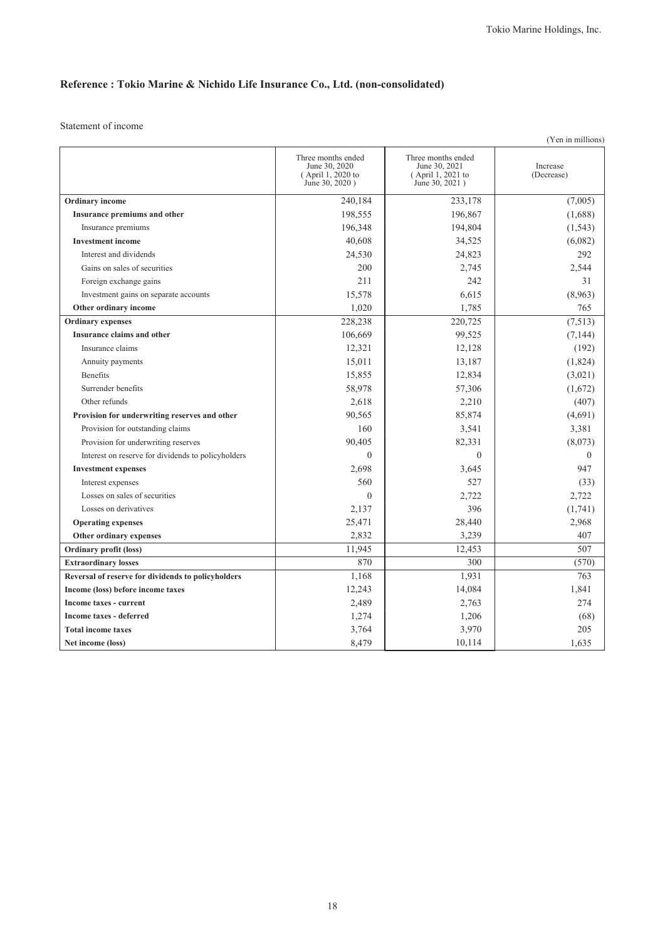## **Reference : Tokio Marine & Nichido Life Insurance Co., Ltd. (non-consolidated)**

Statement of income

| (Yen in millions)                                  |                                                                            |                                                                            |                        |  |
|----------------------------------------------------|----------------------------------------------------------------------------|----------------------------------------------------------------------------|------------------------|--|
|                                                    | Three months ended<br>June 30, 2020<br>(April 1, 2020 to<br>June 30, 2020) | Three months ended<br>June 30, 2021<br>(April 1, 2021 to<br>June 30, 2021) | Increase<br>(Decrease) |  |
| Ordinary income                                    | 240,184                                                                    | 233,178                                                                    | (7,005)                |  |
| Insurance premiums and other                       | 198,555                                                                    | 196,867                                                                    | (1,688)                |  |
| Insurance premiums                                 | 196,348                                                                    | 194,804                                                                    | (1, 543)               |  |
| <b>Investment</b> income                           | 40,608                                                                     | 34,525                                                                     | (6,082)                |  |
| Interest and dividends                             | 24,530                                                                     | 24,823                                                                     | 292                    |  |
| Gains on sales of securities                       | 200                                                                        | 2,745                                                                      | 2.544                  |  |
| Foreign exchange gains                             | 211                                                                        | 242                                                                        | 31                     |  |
| Investment gains on separate accounts              | 15,578                                                                     | 6,615                                                                      | (8,963)                |  |
| Other ordinary income                              | 1,020                                                                      | 1,785                                                                      | 765                    |  |
| <b>Ordinary expenses</b>                           | 228,238                                                                    | 220,725                                                                    | (7,513)                |  |
| Insurance claims and other                         | 106,669                                                                    | 99,525                                                                     | (7, 144)               |  |
| Insurance claims                                   | 12,321                                                                     | 12,128                                                                     | (192)                  |  |
| Annuity payments                                   | 15,011                                                                     | 13,187                                                                     | (1,824)                |  |
| <b>Benefits</b>                                    | 15,855                                                                     | 12,834                                                                     | (3,021)                |  |
| Surrender benefits                                 | 58,978                                                                     | 57,306                                                                     | (1,672)                |  |
| Other refunds                                      | 2,618                                                                      | 2,210                                                                      | (407)                  |  |
| Provision for underwriting reserves and other      | 90.565                                                                     | 85,874                                                                     | (4,691)                |  |
| Provision for outstanding claims                   | 160                                                                        | 3,541                                                                      | 3,381                  |  |
| Provision for underwriting reserves                | 90,405                                                                     | 82,331                                                                     | (8,073)                |  |
| Interest on reserve for dividends to policyholders | $\theta$                                                                   | $\theta$                                                                   | $\mathbf{0}$           |  |
| <b>Investment expenses</b>                         | 2,698                                                                      | 3,645                                                                      | 947                    |  |
| Interest expenses                                  | 560                                                                        | 527                                                                        | (33)                   |  |
| Losses on sales of securities                      | $\Omega$                                                                   | 2,722                                                                      | 2,722                  |  |
| Losses on derivatives                              | 2,137                                                                      | 396                                                                        | (1,741)                |  |
| <b>Operating expenses</b>                          | 25,471                                                                     | 28,440                                                                     | 2,968                  |  |
| Other ordinary expenses                            | 2,832                                                                      | 3,239                                                                      | 407                    |  |
| <b>Ordinary profit (loss)</b>                      | 11,945                                                                     | 12,453                                                                     | 507                    |  |
| <b>Extraordinary losses</b>                        | 870                                                                        | 300                                                                        | (570)                  |  |
| Reversal of reserve for dividends to policyholders | 1,168                                                                      | 1,931                                                                      | 763                    |  |
| Income (loss) before income taxes                  | 12,243                                                                     | 14,084                                                                     | 1,841                  |  |
| Income taxes - current                             | 2,489                                                                      | 2,763                                                                      | 274                    |  |
| <b>Income taxes - deferred</b>                     | 1,274                                                                      | 1,206                                                                      | (68)                   |  |
| <b>Total income taxes</b>                          | 3,764                                                                      | 3,970                                                                      | 205                    |  |
| Net income (loss)                                  | 8,479                                                                      | 10,114                                                                     | 1,635                  |  |